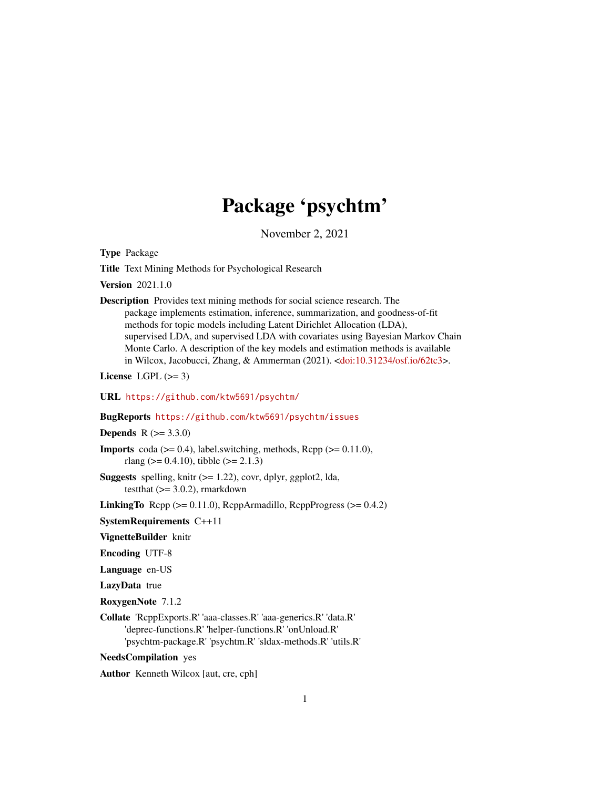# Package 'psychtm'

November 2, 2021

<span id="page-0-0"></span>Type Package

Title Text Mining Methods for Psychological Research

Version 2021.1.0

Description Provides text mining methods for social science research. The package implements estimation, inference, summarization, and goodness-of-fit methods for topic models including Latent Dirichlet Allocation (LDA), supervised LDA, and supervised LDA with covariates using Bayesian Markov Chain Monte Carlo. A description of the key models and estimation methods is available in Wilcox, Jacobucci, Zhang, & Ammerman (2021). [<doi:10.31234/osf.io/62tc3>](https://doi.org/10.31234/osf.io/62tc3).

License LGPL  $(>= 3)$ 

URL <https://github.com/ktw5691/psychtm/>

BugReports <https://github.com/ktw5691/psychtm/issues>

**Depends**  $R (= 3.3.0)$ 

**Imports** coda  $(>= 0.4)$ , label.switching, methods, Rcpp  $(>= 0.11.0)$ , rlang ( $> = 0.4.10$ ), tibble ( $>= 2.1.3$ )

**Suggests** spelling, knitr  $(>= 1.22)$ , covr, dplyr, ggplot2, lda, testthat  $(>= 3.0.2)$ , rmarkdown

LinkingTo  $Rep (= 0.11.0)$ ,  $RepArmadillo$ ,  $RepPProgress (= 0.4.2)$ 

SystemRequirements C++11

VignetteBuilder knitr

Encoding UTF-8

Language en-US

LazyData true

RoxygenNote 7.1.2

Collate 'RcppExports.R' 'aaa-classes.R' 'aaa-generics.R' 'data.R' 'deprec-functions.R' 'helper-functions.R' 'onUnload.R' 'psychtm-package.R' 'psychtm.R' 'sldax-methods.R' 'utils.R'

NeedsCompilation yes

Author Kenneth Wilcox [aut, cre, cph]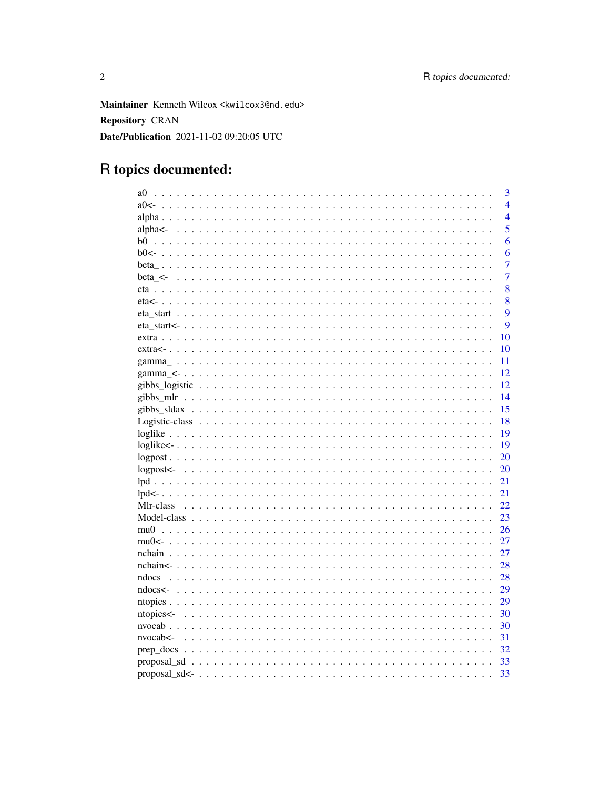Maintainer Kenneth Wilcox <kwilcox3@nd.edu> **Repository CRAN** Date/Publication 2021-11-02 09:20:05 UTC

# R topics documented:

|                     | 3                |
|---------------------|------------------|
| a0<                 | $\overline{4}$   |
|                     | $\overline{4}$   |
|                     | 5                |
| b0                  | 6                |
| $b0<-$              | 6                |
|                     | $\overline{7}$   |
| beta $\leq$         | $\overline{7}$   |
|                     | 8                |
|                     | 8                |
|                     | $\boldsymbol{Q}$ |
|                     | 9                |
|                     | 10               |
|                     | 10               |
|                     | 11               |
|                     | 12               |
|                     | 12               |
|                     | 14               |
|                     | 15               |
|                     | 18               |
|                     | 19               |
|                     | 19               |
|                     | 20               |
|                     | 20               |
|                     | 21               |
|                     | 21               |
| Mlr-class           | 22               |
|                     | 23               |
|                     | 26               |
|                     | 27               |
|                     | 27               |
|                     | 28               |
|                     | 28               |
|                     | 29               |
|                     | 29               |
| ntopics<-           | 30               |
|                     | 30               |
| $nvocab \leftarrow$ | 31               |
|                     | 32               |
|                     | 33               |
|                     | 33               |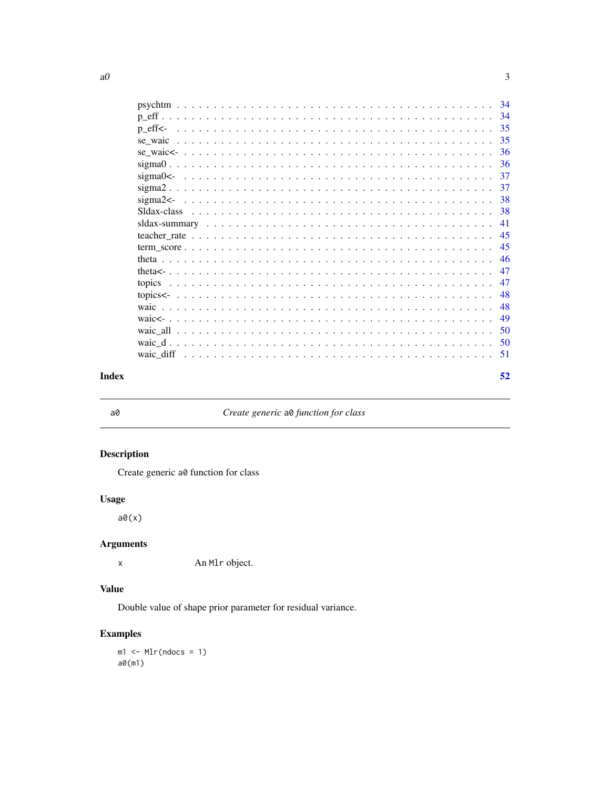<span id="page-2-0"></span>

|                 | -34 |
|-----------------|-----|
|                 | 34  |
| $p$ eff $\lt$ - | 35  |
|                 | 35  |
|                 | 36  |
|                 | 36  |
|                 | 37  |
|                 | 37  |
|                 | 38  |
|                 | 38  |
|                 | 41  |
|                 | 45  |
|                 | 45  |
|                 | 46  |
|                 | 47  |
|                 | 47  |
|                 | 48  |
|                 | 48  |
|                 | 49  |
|                 | 50  |
|                 | 50  |
|                 | -51 |
|                 |     |
|                 | 52  |

## **Index**

 $a\theta$ 

## Create generic a0 function for class

## **Description**

Create generic a0 function for class

## **Usage**

 $a\theta(x)$ 

## **Arguments**

An M1r object.  $\mathsf X$ 

## **Value**

Double value of shape prior parameter for residual variance.

## **Examples**

 $ml \leftarrow Mlr(ndocs = 1)$  $a\emptyset(m1)$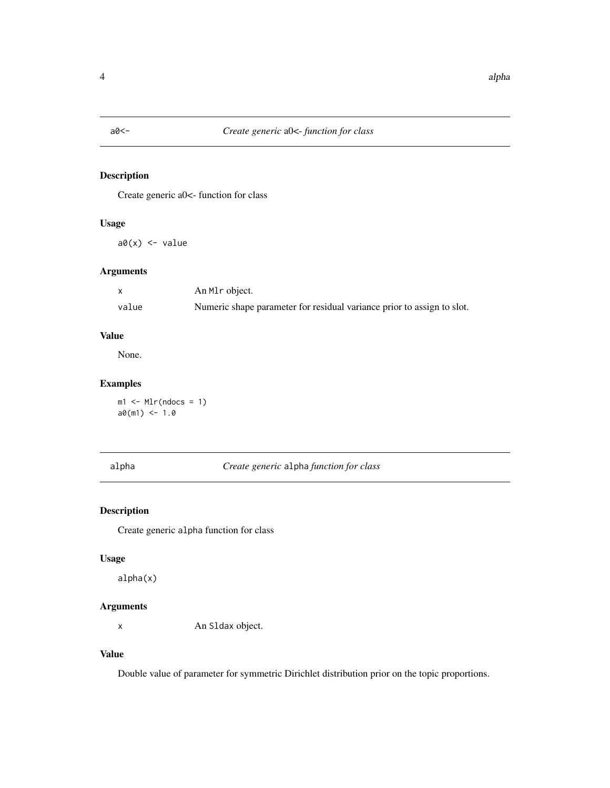<span id="page-3-0"></span>

Create generic a0<- function for class

## Usage

 $a\emptyset(x)$  <- value

## Arguments

|       | An M <sub>l</sub> object.                                              |
|-------|------------------------------------------------------------------------|
| value | Numeric shape parameter for residual variance prior to assign to slot. |

## Value

None.

## Examples

 $ml \leftarrow Mlr(ndocs = 1)$  $a0(m1)$  <- 1.0

## alpha *Create generic* alpha *function for class*

## Description

Create generic alpha function for class

#### Usage

alpha(x)

## Arguments

x An Sldax object.

#### Value

Double value of parameter for symmetric Dirichlet distribution prior on the topic proportions.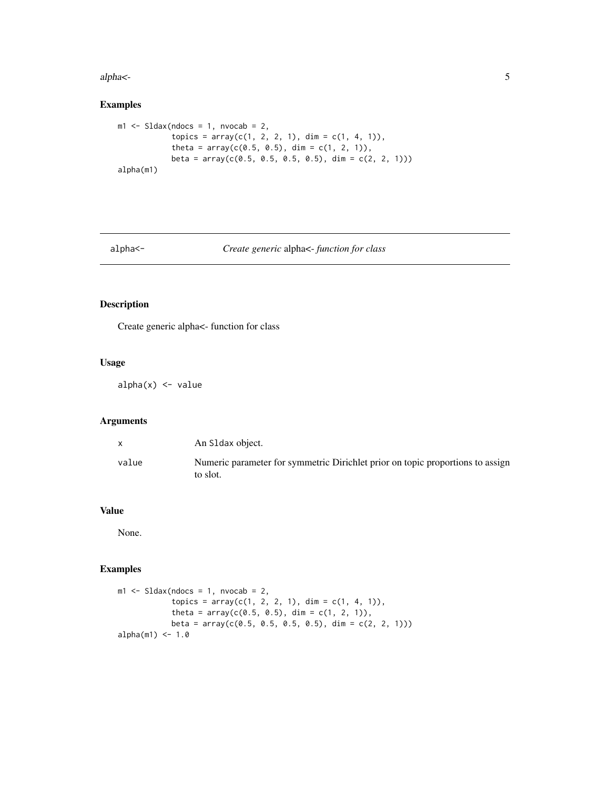<span id="page-4-0"></span>alpha<- 5

## Examples

```
ml \leftarrow Sldax(ndocs = 1, nvocab = 2,
            topics = array(c(1, 2, 2, 1), dim = c(1, 4, 1)),theta = array(c(0.5, 0.5), dim = c(1, 2, 1)),beta = array(c(0.5, 0.5, 0.5, 0.5), dim = c(2, 2, 1)))
alpha(m1)
```
#### alpha<- *Create generic* alpha<- *function for class*

## Description

Create generic alpha<- function for class

## Usage

 $alpha(x)$  <- value

## Arguments

|       | An S1 dax object.                                                                          |
|-------|--------------------------------------------------------------------------------------------|
| value | Numeric parameter for symmetric Dirichlet prior on topic proportions to assign<br>to slot. |

## Value

None.

## Examples

```
ml \leq SLdax(ndocs = 1, nvocab = 2,topics = array(c(1, 2, 2, 1), dim = c(1, 4, 1)),theta = array(c(0.5, 0.5), dim = c(1, 2, 1)),beta = array(c(0.5, 0.5, 0.5, 0.5), dim = c(2, 2, 1)))
alpha(m1) < -1.0
```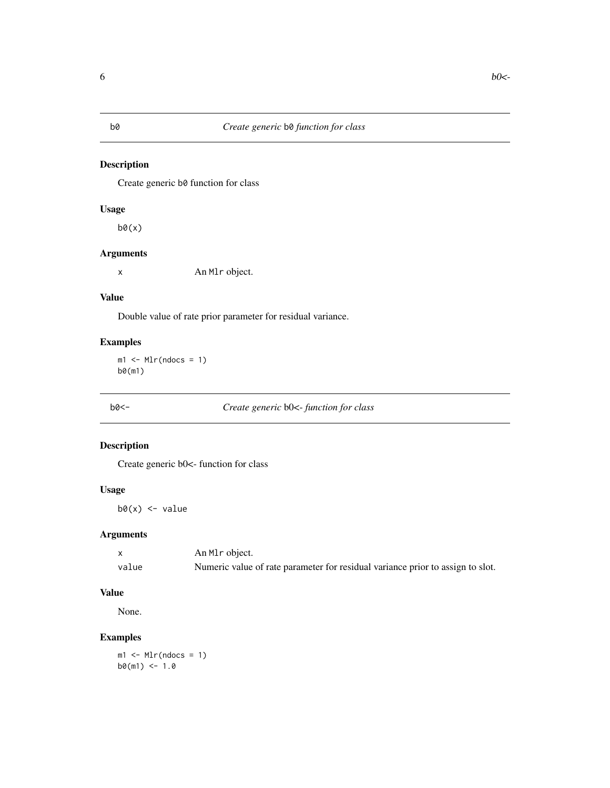## <span id="page-5-0"></span>b0 *Create generic* b0 *function for class*

## Description

Create generic b0 function for class

## Usage

 $b\theta(x)$ 

## Arguments

x An Mlr object.

#### Value

Double value of rate prior parameter for residual variance.

## Examples

 $ml < - Mlr(ndocs = 1)$ b0(m1)

b0<- *Create generic* b0<- *function for class*

## Description

Create generic b0<- function for class

## Usage

 $b\emptyset(x)$  <- value

## Arguments

|       | An M <sub>l</sub> object.                                                      |
|-------|--------------------------------------------------------------------------------|
| value | Numeric value of rate parameter for residual variance prior to assign to slot. |

## Value

None.

## Examples

 $ml < - Mlr(ndocs = 1)$  $b0(m1) < -1.0$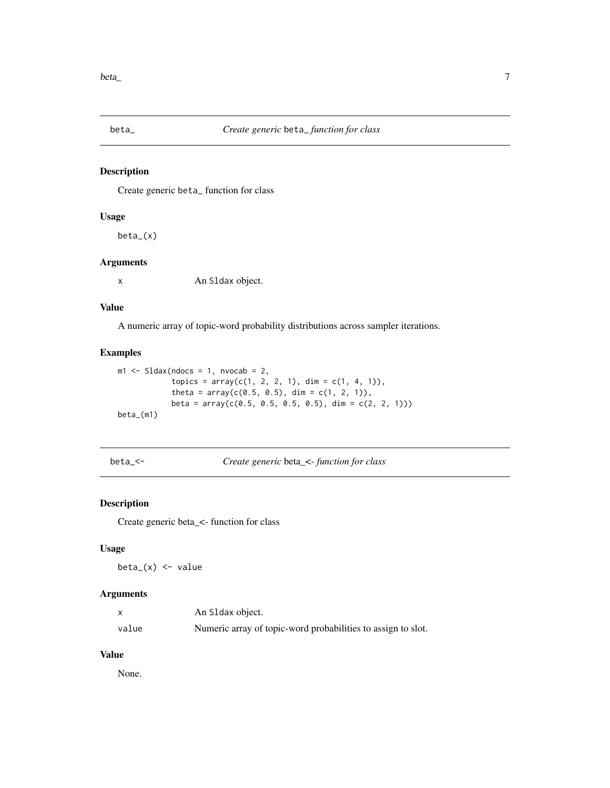<span id="page-6-0"></span>

Create generic beta\_ function for class

#### Usage

beta\_(x)

#### Arguments

x An Sldax object.

#### Value

A numeric array of topic-word probability distributions across sampler iterations.

## Examples

```
ml \leq SLdax(ndocs = 1, nvocab = 2,topics = array(c(1, 2, 2, 1), dim = c(1, 4, 1)),theta = array(c(0.5, 0.5), dim = c(1, 2, 1)),beta = array(c(0.5, 0.5, 0.5, 0.5), dim = c(2, 2, 1)))beta_(m1)
```
beta\_<- *Create generic* beta\_<- *function for class*

## Description

Create generic beta\_<- function for class

#### Usage

 $beta_{x}$  <- value

#### Arguments

|       | An S1 dax object.                                            |
|-------|--------------------------------------------------------------|
| value | Numeric array of topic-word probabilities to assign to slot. |

#### Value

None.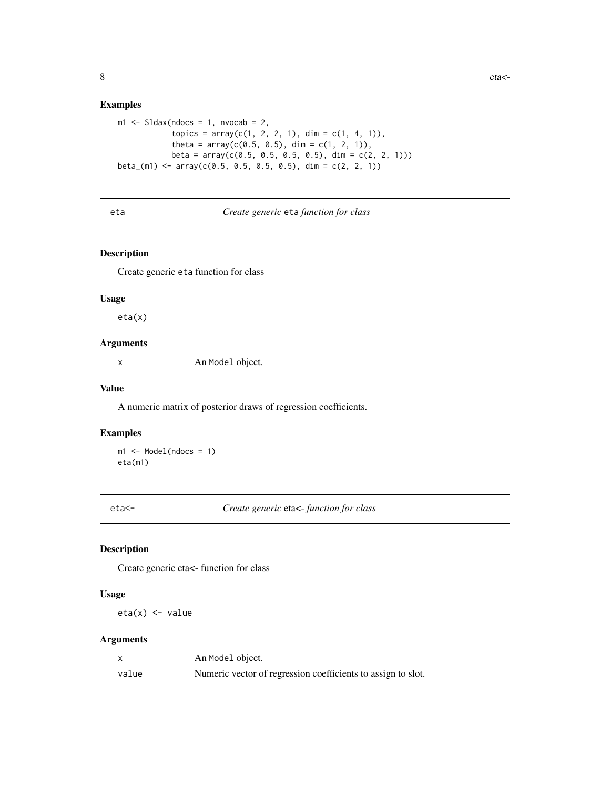#### Examples

```
ml \leq SLdax(ndocs = 1, nvocab = 2,topics = array(c(1, 2, 2, 1), dim = c(1, 4, 1)),theta = array(c(0.5, 0.5), dim = c(1, 2, 1)),beta = array(c(0.5, 0.5, 0.5, 0.5), dim = c(2, 2, 1)))
beta_(m1) <- array(c(0.5, 0.5, 0.5, 0.5), dim = c(2, 2, 1))
```
#### eta *Create generic* eta *function for class*

## Description

Create generic eta function for class

#### Usage

eta(x)

## Arguments

x An Model object.

#### Value

A numeric matrix of posterior draws of regression coefficients.

#### Examples

 $ml \leq Model(ndocs = 1)$ eta(m1)

eta<- *Create generic* eta<- *function for class*

## Description

Create generic eta<- function for class

#### Usage

 $eta(x)$  <- value

|       | An Model object.                                             |
|-------|--------------------------------------------------------------|
| value | Numeric vector of regression coefficients to assign to slot. |

<span id="page-7-0"></span>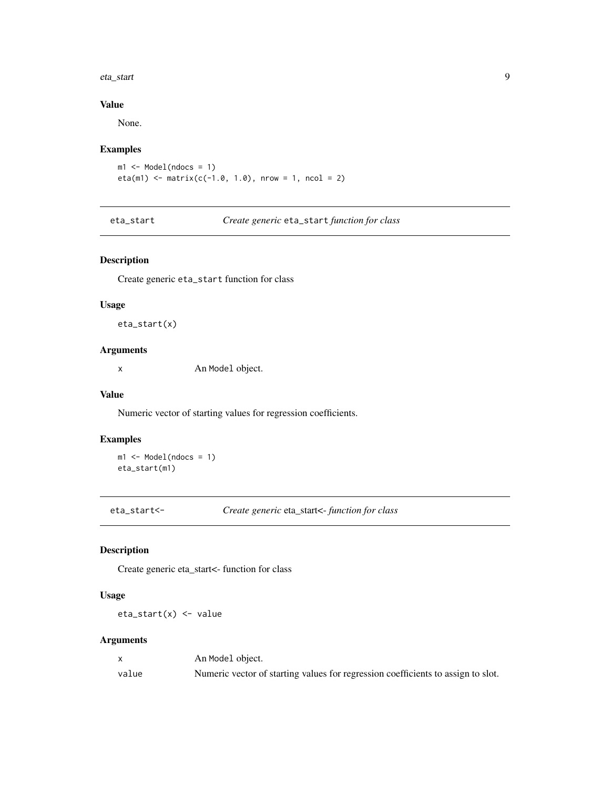#### <span id="page-8-0"></span>eta\_start 9

## Value

None.

## Examples

```
m1 <- Model(ndocs = 1)
eta(m1) <- matrix(c(-1.0, 1.0), nrow = 1, ncol = 2)
```
eta\_start *Create generic* eta\_start *function for class*

## Description

Create generic eta\_start function for class

#### Usage

eta\_start(x)

## Arguments

x An Model object.

#### Value

Numeric vector of starting values for regression coefficients.

## Examples

m1 <- Model(ndocs = 1) eta\_start(m1)

eta\_start<- *Create generic* eta\_start<- *function for class*

## Description

Create generic eta\_start<- function for class

## Usage

eta\_start(x) <- value

|       | An Model object.                                                                 |
|-------|----------------------------------------------------------------------------------|
| value | Numeric vector of starting values for regression coefficients to assign to slot. |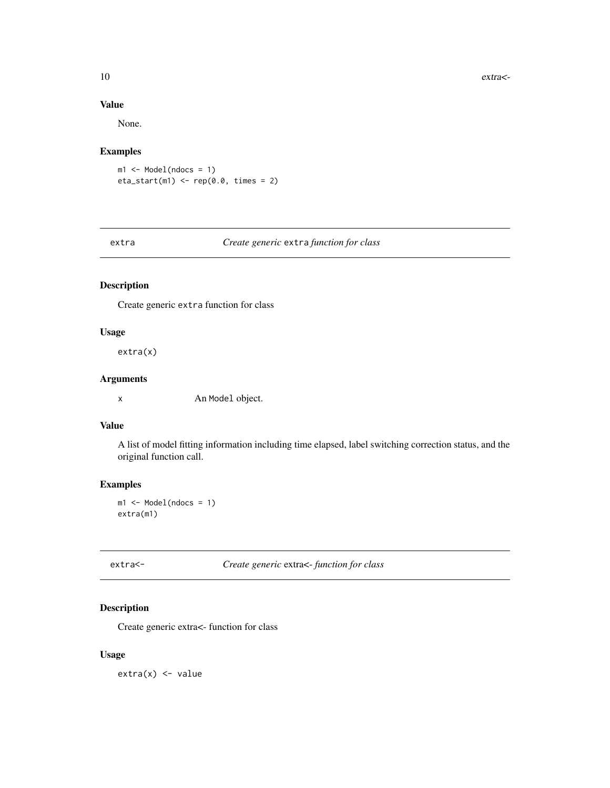## <span id="page-9-0"></span>Value

None.

## Examples

 $ml \leftarrow Model(ndocs = 1)$  $eta_{\text{start}(m1)} \leftarrow \text{rep}(0.0, \text{ times} = 2)$ 

## extra *Create generic* extra *function for class*

## Description

Create generic extra function for class

#### Usage

extra(x)

## Arguments

x An Model object.

#### Value

A list of model fitting information including time elapsed, label switching correction status, and the original function call.

## Examples

m1 <- Model(ndocs = 1) extra(m1)

extra<- *Create generic* extra<- *function for class*

#### Description

Create generic extra<- function for class

#### Usage

 $extra(x) < - value$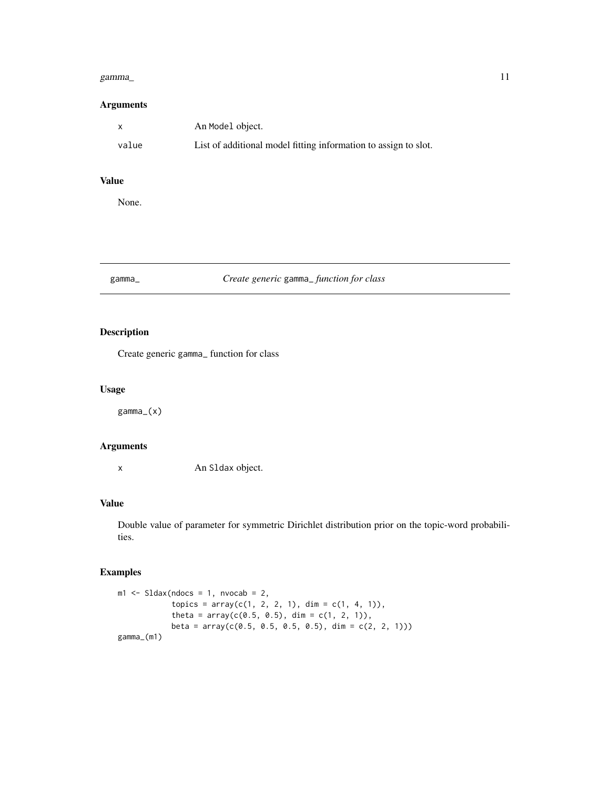#### <span id="page-10-0"></span>gamma\_ 11

#### Arguments

| X     | An Model object.                                                |
|-------|-----------------------------------------------------------------|
| value | List of additional model fitting information to assign to slot. |

## Value

None.

## gamma\_ *Create generic* gamma\_ *function for class*

## Description

Create generic gamma\_ function for class

## Usage

gamma\_(x)

## Arguments

x An Sldax object.

## Value

Double value of parameter for symmetric Dirichlet distribution prior on the topic-word probabilities.

## Examples

```
ml \leq SLdax(ndocs = 1, nvocab = 2,topics = array(c(1, 2, 2, 1), dim = c(1, 4, 1)),theta = array(c(0.5, 0.5), dim = c(1, 2, 1)),beta = array(c(0.5, 0.5, 0.5, 0.5), dim = c(2, 2, 1)))
gamma_(m1)
```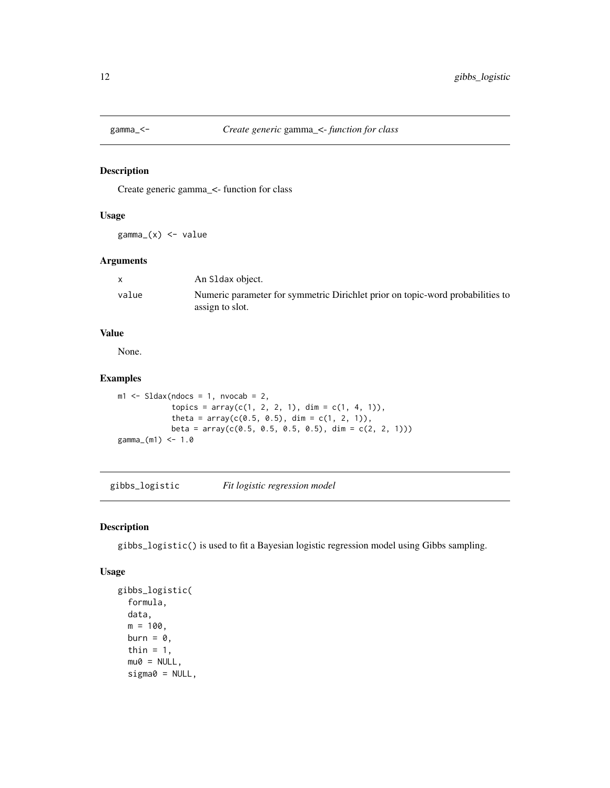<span id="page-11-0"></span>

Create generic gamma\_<- function for class

#### Usage

gamma\_(x) <- value

## Arguments

|       | An S1 dax object.                                                              |
|-------|--------------------------------------------------------------------------------|
| value | Numeric parameter for symmetric Dirichlet prior on topic-word probabilities to |
|       | assign to slot.                                                                |

#### Value

None.

#### Examples

```
m1 \leq - Sldax(ndocs = 1, nvocab = 2,
            topics = array(c(1, 2, 2, 1), dim = c(1, 4, 1)),theta = array(c(0.5, 0.5), dim = c(1, 2, 1)),beta = array(c(0.5, 0.5, 0.5, 0.5), dim = c(2, 2, 1)))
gamma<sub>_</sub>(m1) <- 1.0
```
<span id="page-11-1"></span>gibbs\_logistic *Fit logistic regression model*

#### Description

gibbs\_logistic() is used to fit a Bayesian logistic regression model using Gibbs sampling.

## Usage

```
gibbs_logistic(
  formula,
  data,
 m = 100,
 burn = \theta,
  thin = 1,
  mu0 = NULL,signa0 = NULL,
```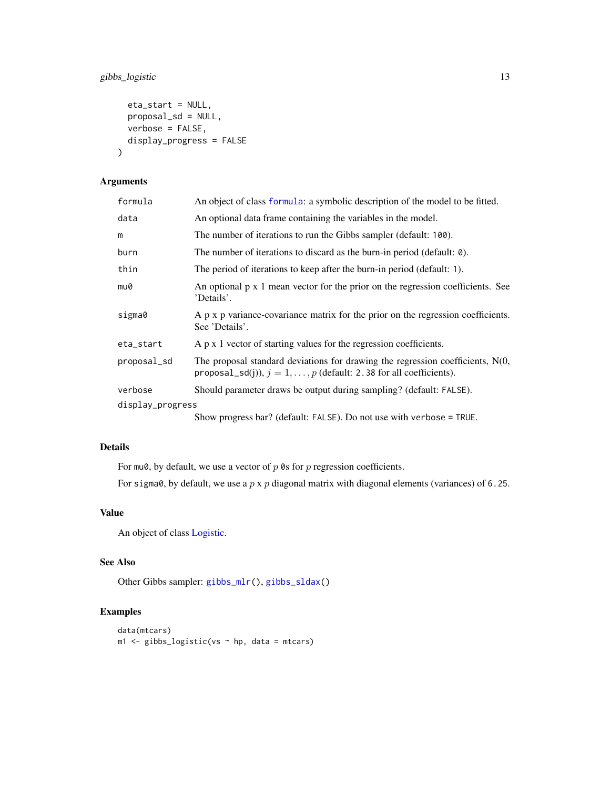## <span id="page-12-0"></span>gibbs\_logistic 13

```
eta_start = NULL,
 proposal_sd = NULL,
 verbose = FALSE,
 display_progress = FALSE
)
```
## Arguments

| formula          | An object of class formula: a symbolic description of the model to be fitted.                                                                              |  |
|------------------|------------------------------------------------------------------------------------------------------------------------------------------------------------|--|
| data             | An optional data frame containing the variables in the model.                                                                                              |  |
| m                | The number of iterations to run the Gibbs sampler (default: 100).                                                                                          |  |
| burn             | The number of iterations to discard as the burn-in period (default: 0).                                                                                    |  |
| thin             | The period of iterations to keep after the burn-in period (default: 1).                                                                                    |  |
| mu0              | An optional p x 1 mean vector for the prior on the regression coefficients. See<br>'Details'.                                                              |  |
| sigma0           | A p x p variance-covariance matrix for the prior on the regression coefficients.<br>See 'Details'.                                                         |  |
| eta_start        | $A$ p x 1 vector of starting values for the regression coefficients.                                                                                       |  |
| proposal_sd      | The proposal standard deviations for drawing the regression coefficients, $N(0, 1)$<br>proposal_sd(j)), $j = 1, , p$ (default: 2.38 for all coefficients). |  |
| verbose          | Should parameter draws be output during sampling? (default: FALSE).                                                                                        |  |
| display_progress |                                                                                                                                                            |  |
|                  | Show progress bar? (default: FALSE). Do not use with verbose = TRUE.                                                                                       |  |

## Details

For mu0, by default, we use a vector of  $p$  0s for  $p$  regression coefficients.

For sigma0, by default, we use a  $p \times p$  diagonal matrix with diagonal elements (variances) of 6.25.

#### Value

An object of class [Logistic.](#page-17-1)

#### See Also

Other Gibbs sampler: [gibbs\\_mlr\(](#page-13-1)), [gibbs\\_sldax\(](#page-14-1))

## Examples

```
data(mtcars)
m1 <- gibbs_logistic(vs ~ hp, data = mtcars)
```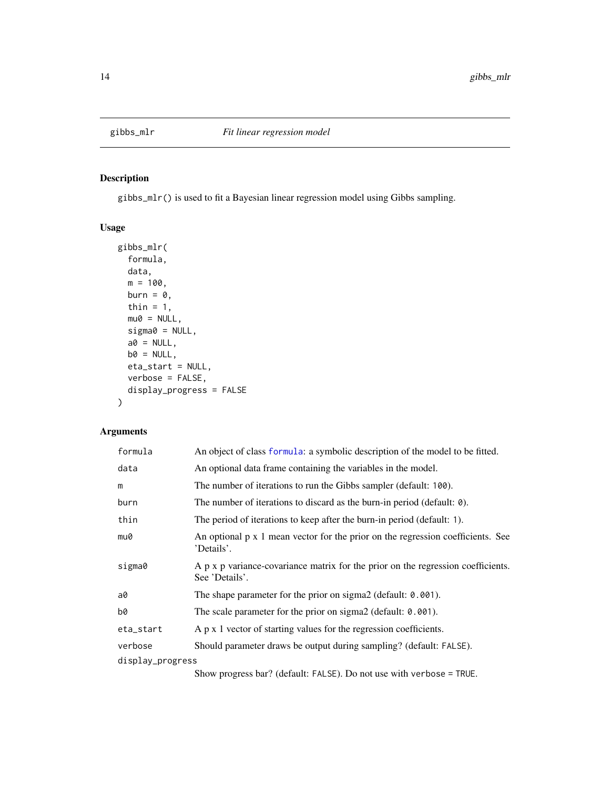<span id="page-13-1"></span><span id="page-13-0"></span>

gibbs\_mlr() is used to fit a Bayesian linear regression model using Gibbs sampling.

## Usage

```
gibbs_mlr(
  formula,
  data,
  m = 100,
  burn = \theta,
  thin = 1,
  mu@ = NULL,signa0 = NULL,a0 = NULL,b0 = NULL,eta_start = NULL,
  verbose = FALSE,
  display_progress = FALSE
)
```
## Arguments

| formula          | An object of class formula: a symbolic description of the model to be fitted.                      |  |
|------------------|----------------------------------------------------------------------------------------------------|--|
| data             | An optional data frame containing the variables in the model.                                      |  |
| m                | The number of iterations to run the Gibbs sampler (default: 100).                                  |  |
| burn             | The number of iterations to discard as the burn-in period (default: 0).                            |  |
| thin             | The period of iterations to keep after the burn-in period (default: 1).                            |  |
| mu0              | An optional p x 1 mean vector for the prior on the regression coefficients. See<br>'Details'.      |  |
| sigma0           | A p x p variance-covariance matrix for the prior on the regression coefficients.<br>See 'Details'. |  |
| a0               | The shape parameter for the prior on sigma2 (default: $0.001$ ).                                   |  |
| b0               | The scale parameter for the prior on sigma2 (default: 0.001).                                      |  |
| eta_start        | A p x 1 vector of starting values for the regression coefficients.                                 |  |
| verbose          | Should parameter draws be output during sampling? (default: FALSE).                                |  |
| display_progress |                                                                                                    |  |
|                  | $Chow$ meaning $hom(1 + EM C)$ $D$ matrice with $vanbase = TDI$                                    |  |

Show progress bar? (default: FALSE). Do not use with verbose = TRUE.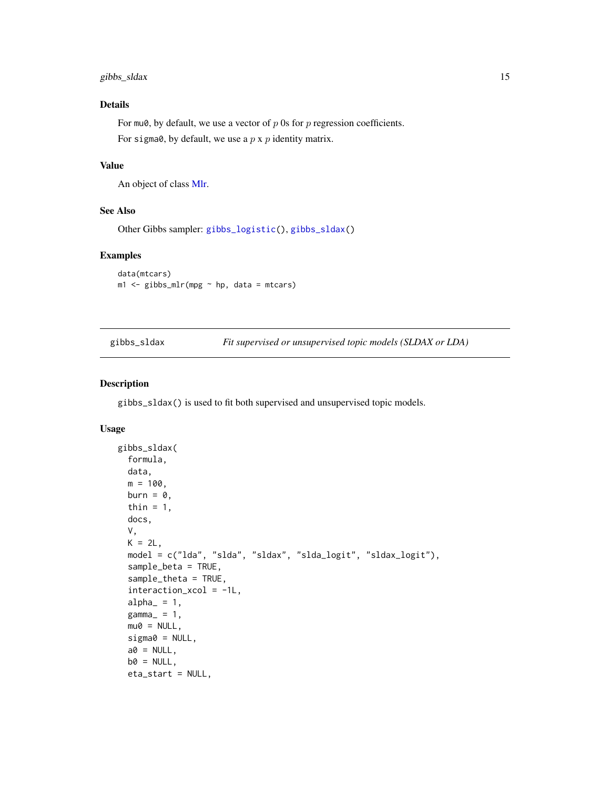## <span id="page-14-0"></span>gibbs\_sldax 15

#### Details

For mu0, by default, we use a vector of  $p$  0s for  $p$  regression coefficients. For sigma0, by default, we use a  $p \times p$  identity matrix.

#### Value

An object of class [Mlr.](#page-21-1)

#### See Also

Other Gibbs sampler: [gibbs\\_logistic\(](#page-11-1)), [gibbs\\_sldax\(](#page-14-1))

#### Examples

```
data(mtcars)
m1 <- gibbs_mlr(mpg ~ hp, data = mtcars)
```
<span id="page-14-1"></span>gibbs\_sldax *Fit supervised or unsupervised topic models (SLDAX or LDA)*

#### Description

gibbs\_sldax() is used to fit both supervised and unsupervised topic models.

#### Usage

```
gibbs_sldax(
 formula,
  data,
 m = 100,
 burn = \theta,
  thin = 1,
  docs,
  V,
 K = 2L,
 model = c("lda", "slda", "sldax", "slda_logit", "sldax_logit"),
  sample_beta = TRUE,
  sample_theta = TRUE,
  interaction_xcol = -1L,
  alpha_ = 1,
  gamma_ = 1,
 mu0 = NULL,signa0 = NULL,a0 = NULL,b0 = NULL,eta_start = NULL,
```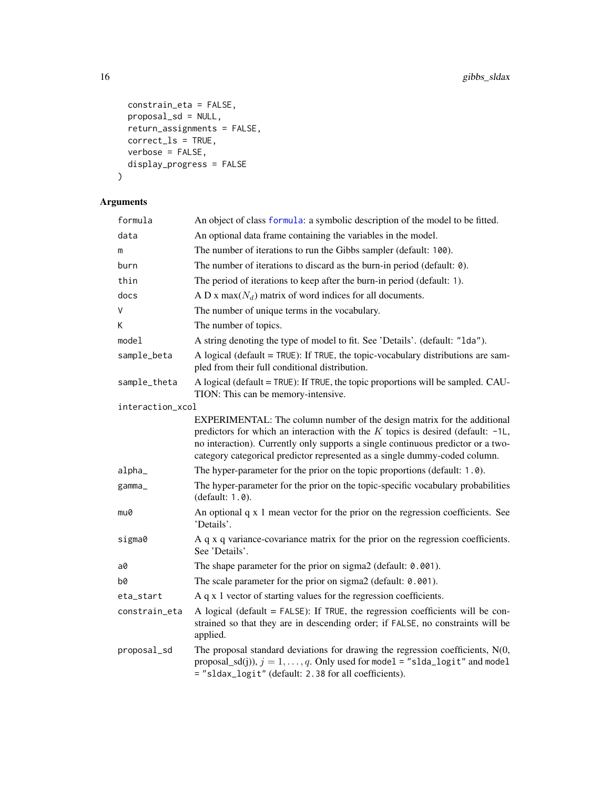```
constrain_eta = FALSE,
 proposal_sd = NULL,
 return_assignments = FALSE,
 correct_ls = TRUE,
 verbose = FALSE,
 display_progress = FALSE
\mathcal{L}
```

| formula          | An object of class formula: a symbolic description of the model to be fitted.                                                                                                                                                                                                                                                     |
|------------------|-----------------------------------------------------------------------------------------------------------------------------------------------------------------------------------------------------------------------------------------------------------------------------------------------------------------------------------|
| data             | An optional data frame containing the variables in the model.                                                                                                                                                                                                                                                                     |
| m                | The number of iterations to run the Gibbs sampler (default: 100).                                                                                                                                                                                                                                                                 |
| burn             | The number of iterations to discard as the burn-in period (default: $\theta$ ).                                                                                                                                                                                                                                                   |
| thin             | The period of iterations to keep after the burn-in period (default: 1).                                                                                                                                                                                                                                                           |
| docs             | A D x max( $N_d$ ) matrix of word indices for all documents.                                                                                                                                                                                                                                                                      |
| V                | The number of unique terms in the vocabulary.                                                                                                                                                                                                                                                                                     |
| Κ                | The number of topics.                                                                                                                                                                                                                                                                                                             |
| model            | A string denoting the type of model to fit. See 'Details'. (default: "1da").                                                                                                                                                                                                                                                      |
| sample_beta      | A logical (default = $TRUE$ ): If $TRUE$ , the topic-vocabulary distributions are sam-<br>pled from their full conditional distribution.                                                                                                                                                                                          |
| sample_theta     | A logical (default = TRUE): If TRUE, the topic proportions will be sampled. CAU-<br>TION: This can be memory-intensive.                                                                                                                                                                                                           |
| interaction_xcol |                                                                                                                                                                                                                                                                                                                                   |
|                  | EXPERIMENTAL: The column number of the design matrix for the additional<br>predictors for which an interaction with the $K$ topics is desired (default: $-1L$ ,<br>no interaction). Currently only supports a single continuous predictor or a two-<br>category categorical predictor represented as a single dummy-coded column. |
| alpha_           | The hyper-parameter for the prior on the topic proportions (default: 1.0).                                                                                                                                                                                                                                                        |
| gamma_           | The hyper-parameter for the prior on the topic-specific vocabulary probabilities<br>(default: 1.0).                                                                                                                                                                                                                               |
| mu0              | An optional q x 1 mean vector for the prior on the regression coefficients. See<br>'Details'.                                                                                                                                                                                                                                     |
| sigma0           | A q x q variance-covariance matrix for the prior on the regression coefficients.<br>See 'Details'.                                                                                                                                                                                                                                |
| a0               | The shape parameter for the prior on sigma2 (default: 0.001).                                                                                                                                                                                                                                                                     |
| b0               | The scale parameter for the prior on sigma2 (default: 0.001).                                                                                                                                                                                                                                                                     |
| eta_start        | A q x 1 vector of starting values for the regression coefficients.                                                                                                                                                                                                                                                                |
| constrain_eta    | A logical (default $=$ FALSE): If TRUE, the regression coefficients will be con-<br>strained so that they are in descending order; if FALSE, no constraints will be<br>applied.                                                                                                                                                   |
| proposal_sd      | The proposal standard deviations for drawing the regression coefficients, $N(0, 1)$<br>proposal_sd(j)), $j = 1, , q$ . Only used for model = "slda_logit" and model<br>= "sldax_logit" (default: 2.38 for all coefficients).                                                                                                      |

<span id="page-15-0"></span>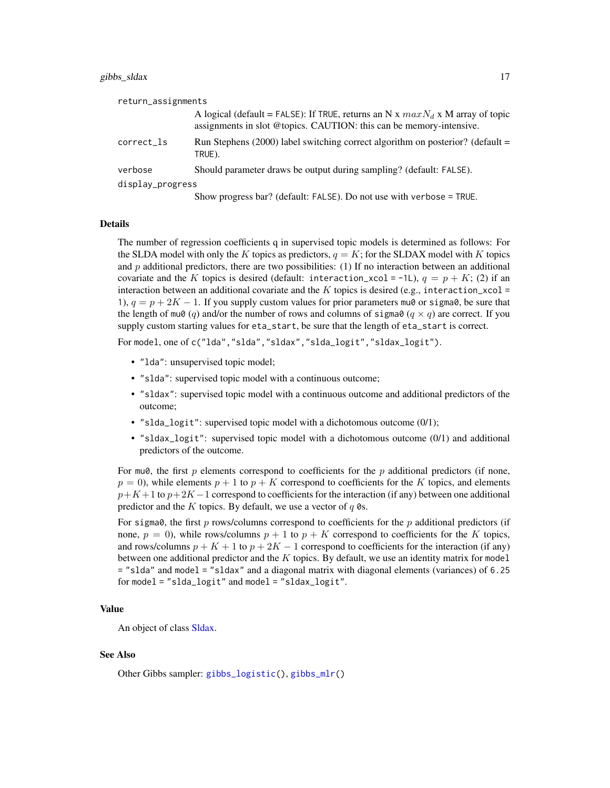#### <span id="page-16-0"></span>gibbs\_sldax 17

| return_assignments |                                                                                                                                                         |
|--------------------|---------------------------------------------------------------------------------------------------------------------------------------------------------|
|                    | A logical (default = FALSE): If TRUE, returns an N x $maxN_d$ x M array of topic<br>assignments in slot @topics. CAUTION: this can be memory-intensive. |
| correct_ls         | Run Stephens (2000) label switching correct algorithm on posterior? (default =<br>TRUE).                                                                |
| verbose            | Should parameter draws be output during sampling? (default: FALSE).                                                                                     |
| display_progress   |                                                                                                                                                         |
|                    | Show progress bar? (default: FALSE). Do not use with verbose = TRUE.                                                                                    |

#### Details

The number of regression coefficients q in supervised topic models is determined as follows: For the SLDA model with only the K topics as predictors,  $q = K$ ; for the SLDAX model with K topics and  $p$  additional predictors, there are two possibilities: (1) If no interaction between an additional covariate and the K topics is desired (default: interaction\_xcol = -1L),  $q = p + K$ ; (2) if an interaction between an additional covariate and the K topics is desired (e.g., interaction\_xcol = 1),  $q = p + 2K - 1$ . If you supply custom values for prior parameters mu0 or sigma0, be sure that the length of mu0 (q) and/or the number of rows and columns of sigma0 ( $q \times q$ ) are correct. If you supply custom starting values for eta\_start, be sure that the length of eta\_start is correct.

For model, one of c("lda","slda","sldax","slda\_logit","sldax\_logit").

- "lda": unsupervised topic model;
- "slda": supervised topic model with a continuous outcome;
- "sldax": supervised topic model with a continuous outcome and additional predictors of the outcome;
- "slda\_logit": supervised topic model with a dichotomous outcome (0/1);
- "sldax\_logit": supervised topic model with a dichotomous outcome (0/1) and additional predictors of the outcome.

For mu0, the first  $p$  elements correspond to coefficients for the  $p$  additional predictors (if none,  $p = 0$ ), while elements  $p + 1$  to  $p + K$  correspond to coefficients for the K topics, and elements  $p+K+1$  to  $p+2K-1$  correspond to coefficients for the interaction (if any) between one additional predictor and the K topics. By default, we use a vector of  $q \, \mathcal{O}$ s.

For sigma0, the first p rows/columns correspond to coefficients for the p additional predictors (if none,  $p = 0$ ), while rows/columns  $p + 1$  to  $p + K$  correspond to coefficients for the K topics, and rows/columns  $p + K + 1$  to  $p + 2K - 1$  correspond to coefficients for the interaction (if any) between one additional predictor and the  $K$  topics. By default, we use an identity matrix for model = "slda" and model = "sldax" and a diagonal matrix with diagonal elements (variances) of 6.25 for model = "slda\_logit" and model = "sldax\_logit".

#### Value

An object of class [Sldax.](#page-37-1)

#### See Also

Other Gibbs sampler: [gibbs\\_logistic\(](#page-11-1)), [gibbs\\_mlr\(](#page-13-1))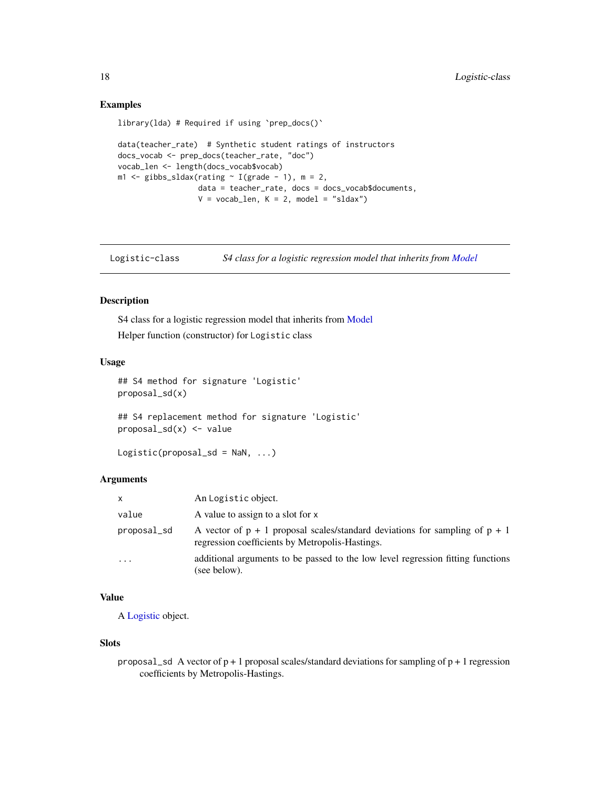#### Examples

```
library(lda) # Required if using `prep_docs()`
```

```
data(teacher_rate) # Synthetic student ratings of instructors
docs_vocab <- prep_docs(teacher_rate, "doc")
vocab_len <- length(docs_vocab$vocab)
m1 \leq - gibbs_sldax(rating \sim I(grade - 1), m = 2,
                  data = teacher_rate, docs = docs_vocab$documents,
                  V = vocab_{len}, K = 2, model = "sldax")
```
<span id="page-17-1"></span>Logistic-class *S4 class for a logistic regression model that inherits from [Model](#page-22-1)*

## Description

S4 class for a logistic regression model that inherits from [Model](#page-22-1)

Helper function (constructor) for Logistic class

#### Usage

```
## S4 method for signature 'Logistic'
proposal_sd(x)
```

```
## S4 replacement method for signature 'Logistic'
proposal_sd(x) <- value
```

```
Logistic(proposal_sd = \text{NaN}, \ldots)
```
#### Arguments

| <b>X</b>    | An Logistic object.                                                                                                                |
|-------------|------------------------------------------------------------------------------------------------------------------------------------|
| value       | A value to assign to a slot for x                                                                                                  |
| proposal_sd | A vector of $p + 1$ proposal scales/standard deviations for sampling of $p + 1$<br>regression coefficients by Metropolis-Hastings. |
| $\ddotsc$   | additional arguments to be passed to the low level regression fitting functions<br>(see below).                                    |

## Value

A [Logistic](#page-17-1) object.

#### Slots

proposal\_sd A vector of  $p + 1$  proposal scales/standard deviations for sampling of  $p + 1$  regression coefficients by Metropolis-Hastings.

<span id="page-17-0"></span>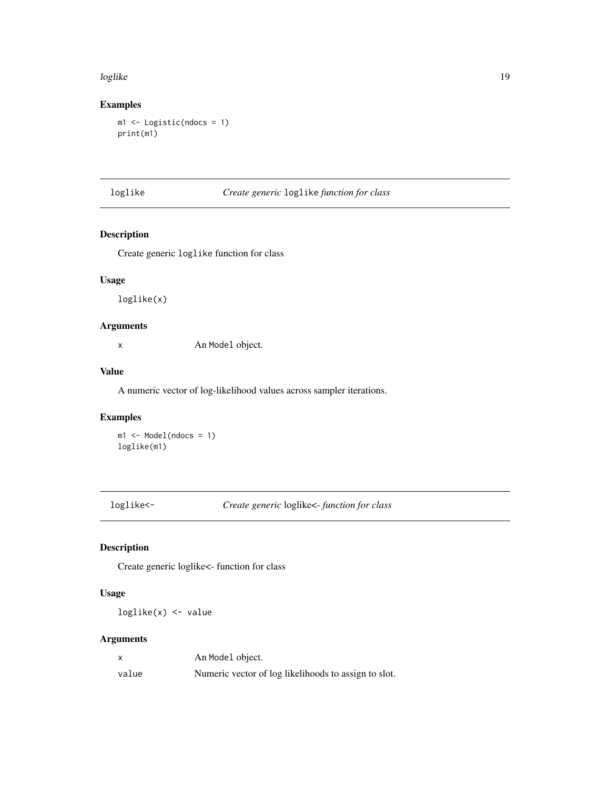#### <span id="page-18-0"></span>loglike the state of the state of the state of the state of the state of the state of the state of the state of the state of the state of the state of the state of the state of the state of the state of the state of the st

## Examples

```
m1 <- Logistic(ndocs = 1)
print(m1)
```
## loglike *Create generic* loglike *function for class*

## Description

Create generic loglike function for class

#### Usage

loglike(x)

## Arguments

x An Model object.

#### Value

A numeric vector of log-likelihood values across sampler iterations.

## Examples

```
ml \leq Model(ndocs = 1)loglike(m1)
```
loglike<- *Create generic* loglike<- *function for class*

## Description

Create generic loglike<- function for class

#### Usage

loglike(x) <- value

| $\boldsymbol{\mathsf{x}}$ | An Model object.                                     |
|---------------------------|------------------------------------------------------|
| value                     | Numeric vector of log likelihoods to assign to slot. |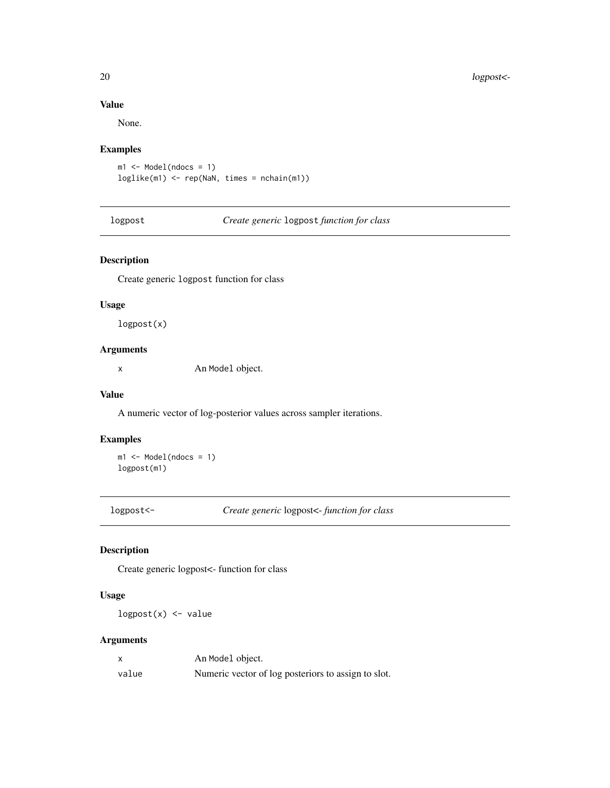#### Value

None.

## Examples

```
m1 \leq Model(ndocs = 1)loglike(m1) <- rep(NaN, times = nchain(m1))
```
logpost *Create generic* logpost *function for class*

## Description

Create generic logpost function for class

#### Usage

logpost(x)

## Arguments

x An Model object.

#### Value

A numeric vector of log-posterior values across sampler iterations.

## Examples

 $ml \leq Model(ndocs = 1)$ logpost(m1)

logpost<- *Create generic* logpost<- *function for class*

## Description

Create generic logpost<- function for class

## Usage

 $logpost(x)$  <- value

|       | An Model object.                                    |
|-------|-----------------------------------------------------|
| value | Numeric vector of log posteriors to assign to slot. |

<span id="page-19-0"></span>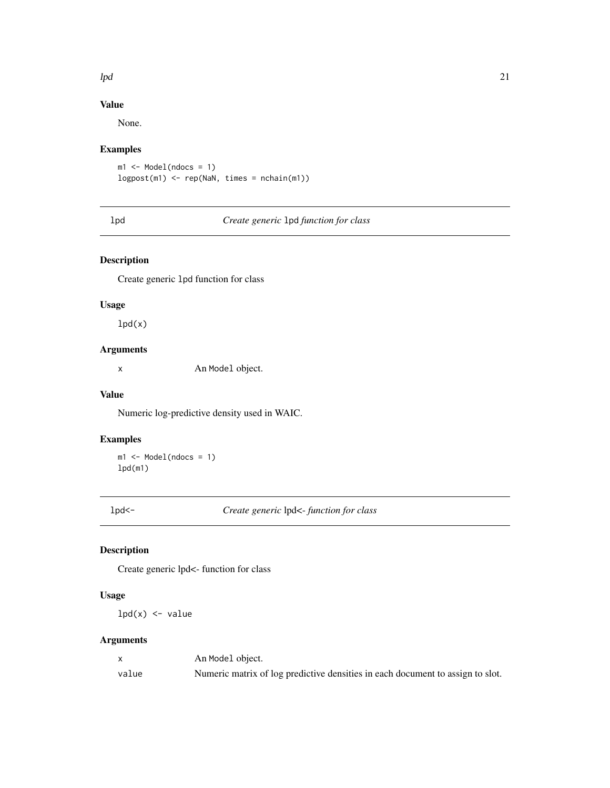#### <span id="page-20-0"></span> $lpd$  21

## Value

None.

## Examples

```
m1 \leq Model(ndocs = 1)logpost(m1) <- rep(NaN, times = nchain(m1))
```
## lpd *Create generic* lpd *function for class*

## Description

Create generic lpd function for class

#### Usage

 $lpd(x)$ 

## Arguments

x An Model object.

#### Value

Numeric log-predictive density used in WAIC.

## Examples

 $ml \leq Model(ndocs = 1)$ lpd(m1)

lpd<- *Create generic* lpd<- *function for class*

## Description

Create generic lpd<- function for class

## Usage

 $lpd(x)$  <- value

|       | An Model object.                                                               |
|-------|--------------------------------------------------------------------------------|
| value | Numeric matrix of log predictive densities in each document to assign to slot. |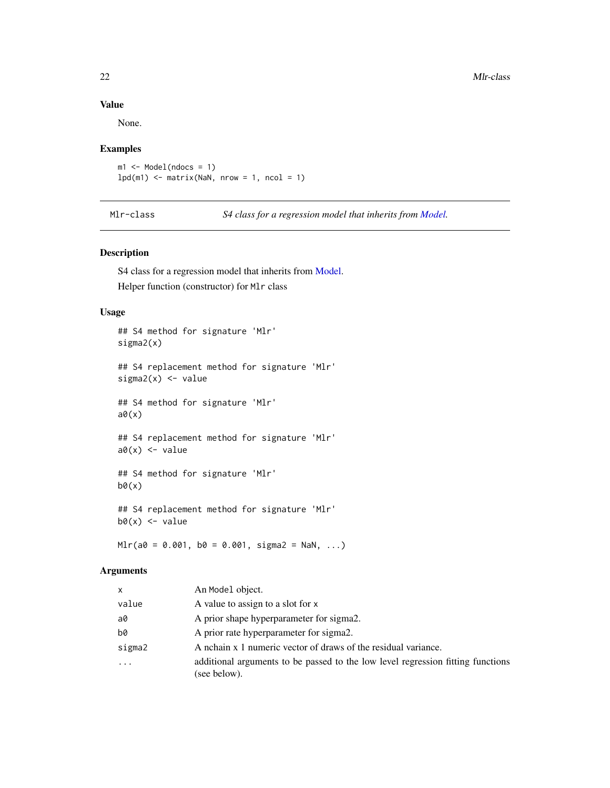## Value

None.

## Examples

 $m1$  <- Model(ndocs = 1)  $lpd(m1)$  <- matrix(NaN, nrow = 1, ncol = 1)

<span id="page-21-1"></span>Mlr-class *S4 class for a regression model that inherits from [Model.](#page-22-1)*

#### Description

S4 class for a regression model that inherits from [Model.](#page-22-1) Helper function (constructor) for Mlr class

## Usage

```
## S4 method for signature 'Mlr'
sigma2(x)
## S4 replacement method for signature 'Mlr'
sigma2(x) <- value
## S4 method for signature 'Mlr'
a\theta(x)## S4 replacement method for signature 'Mlr'
a\theta(x) <- value
## S4 method for signature 'Mlr'
b\theta(x)## S4 replacement method for signature 'Mlr'
b\emptyset(x) <- value
```
 $Mlr(a0 = 0.001, b0 = 0.001, sigma2 = NaN, ...)$ 

| x      | An Model object.                                                                                |
|--------|-------------------------------------------------------------------------------------------------|
| value  | A value to assign to a slot for x                                                               |
| a0     | A prior shape hyperparameter for sigma2.                                                        |
| b0     | A prior rate hyperparameter for sigma2.                                                         |
| sigma2 | A nchain x 1 numeric vector of draws of the residual variance.                                  |
| .      | additional arguments to be passed to the low level regression fitting functions<br>(see below). |

<span id="page-21-0"></span>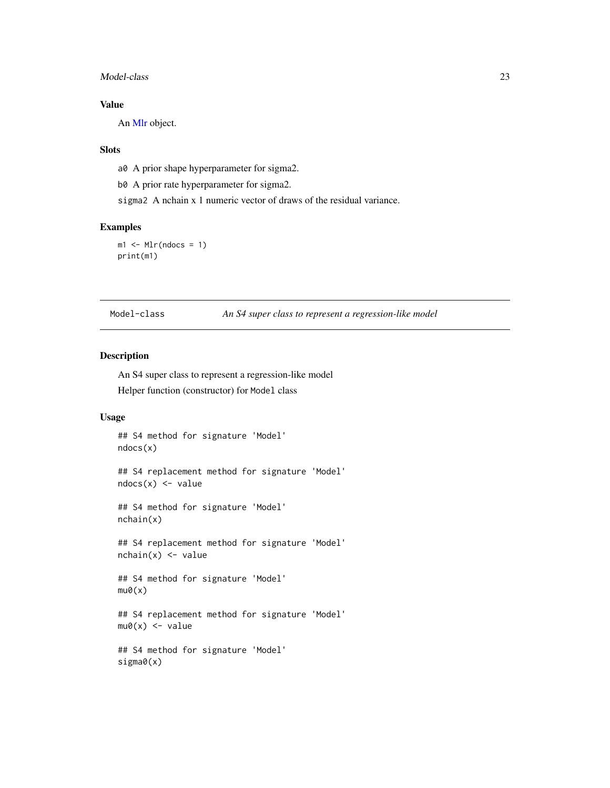#### <span id="page-22-0"></span>Model-class 23

## Value

An [Mlr](#page-21-1) object.

#### **Slots**

a0 A prior shape hyperparameter for sigma2.

b0 A prior rate hyperparameter for sigma2.

sigma2 A nchain x 1 numeric vector of draws of the residual variance.

#### Examples

```
ml < - Mlr(ndoes = 1)print(m1)
```
<span id="page-22-1"></span>Model-class *An S4 super class to represent a regression-like model*

#### Description

An S4 super class to represent a regression-like model Helper function (constructor) for Model class

#### Usage

```
## S4 method for signature 'Model'
ndocs(x)
```
## S4 replacement method for signature 'Model'  $ndocs(x) < - value$ 

## S4 method for signature 'Model' nchain(x)

## S4 replacement method for signature 'Model'  $nchain(x) < -value$ 

```
## S4 method for signature 'Model'
mu@(x)
```
## S4 replacement method for signature 'Model'  $mu0(x)$  <- value

```
## S4 method for signature 'Model'
sigma0(x)
```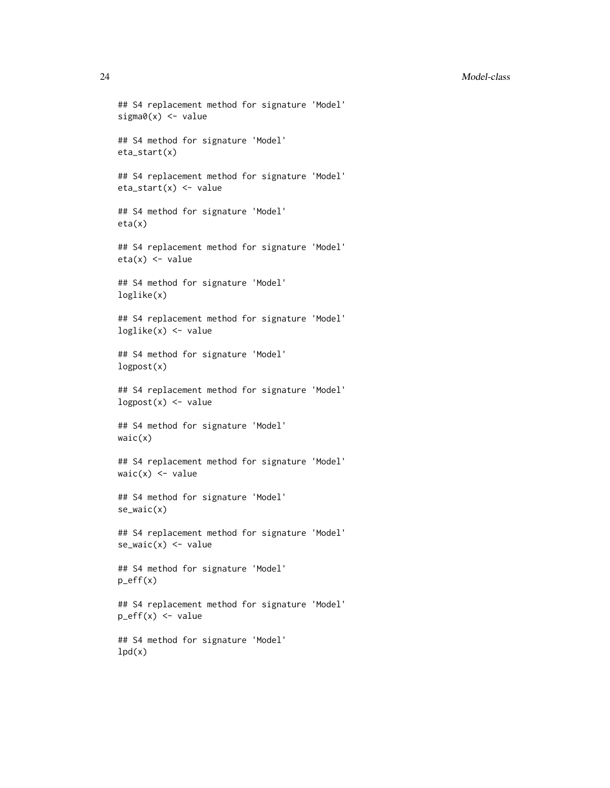#### 24 Model-class

```
## S4 replacement method for signature 'Model'
sigma(x) <- value
## S4 method for signature 'Model'
eta_start(x)
## S4 replacement method for signature 'Model'
eta_start(x) <- value
## S4 method for signature 'Model'
eta(x)
## S4 replacement method for signature 'Model'
eta(x) <- value
## S4 method for signature 'Model'
loglike(x)
## S4 replacement method for signature 'Model'
loglike(x) <- value
## S4 method for signature 'Model'
logpost(x)
## S4 replacement method for signature 'Model'
logpost(x) <- value
## S4 method for signature 'Model'
waic(x)
## S4 replacement method for signature 'Model'
wait(x) < -value## S4 method for signature 'Model'
se_waic(x)
## S4 replacement method for signature 'Model'
se\_waic(x) \leftarrow value## S4 method for signature 'Model'
p_{eff}(x)## S4 replacement method for signature 'Model'
p_{eff}(x) \leq value
## S4 method for signature 'Model'
```
 $lpd(x)$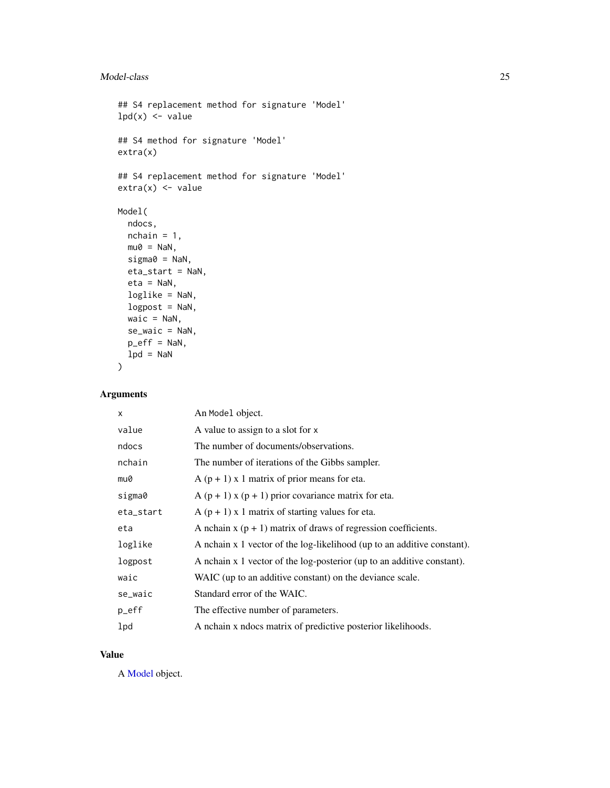## <span id="page-24-0"></span>Model-class 25

```
## S4 replacement method for signature 'Model'
lpd(x) < - value
## S4 method for signature 'Model'
extra(x)
## S4 replacement method for signature 'Model'
extra(x) \leq valueModel(
  ndocs,
 nchain = 1,mu0 = NaN,sigma@ = NaN,
 eta_start = NaN,
 eta = NaN,
 loglike = NaN,
 logpost = NaN,
 wait = NaN,
  se_waic = NaN,
 p_{eff} = NaN,
 1pd = NaN
\mathcal{L}
```
#### Arguments

| X         | An Model object.                                                        |
|-----------|-------------------------------------------------------------------------|
| value     | A value to assign to a slot for x                                       |
| ndocs     | The number of documents/observations.                                   |
| nchain    | The number of iterations of the Gibbs sampler.                          |
| mu0       | $A(p + 1)$ x 1 matrix of prior means for eta.                           |
| sigma0    | A $(p + 1)$ x $(p + 1)$ prior covariance matrix for eta.                |
| eta_start | $A(p + 1)$ x 1 matrix of starting values for eta.                       |
| eta       | A nchain $x (p + 1)$ matrix of draws of regression coefficients.        |
| loglike   | A nchain x 1 vector of the log-likelihood (up to an additive constant). |
| logpost   | A nchain x 1 vector of the log-posterior (up to an additive constant).  |
| waic      | WAIC (up to an additive constant) on the deviance scale.                |
| se_waic   | Standard error of the WAIC.                                             |
| p_eff     | The effective number of parameters.                                     |
| lpd       | A nchain x ndocs matrix of predictive posterior likelihoods.            |

## Value

A [Model](#page-22-1) object.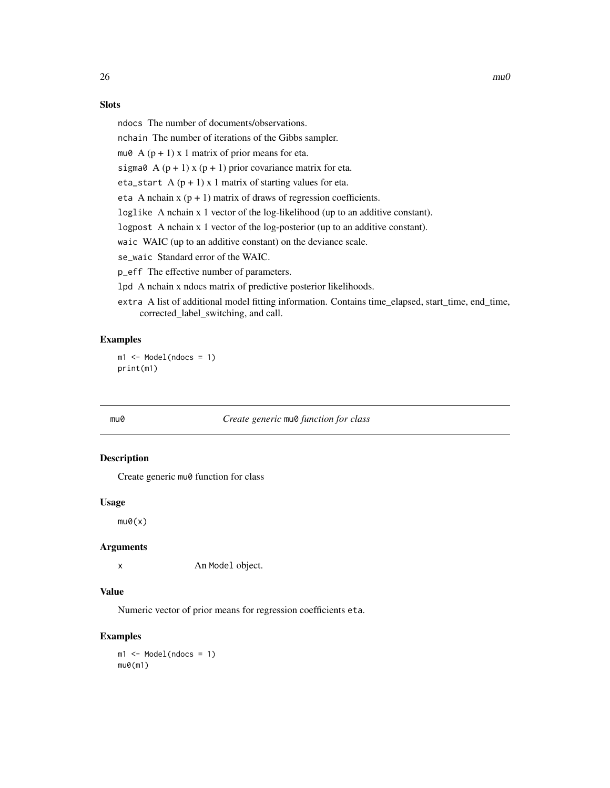#### <span id="page-25-0"></span>Slots

ndocs The number of documents/observations.

nchain The number of iterations of the Gibbs sampler.

mu $\theta$  A (p + 1) x 1 matrix of prior means for eta.

sigma $\theta$  A (p + 1) x (p + 1) prior covariance matrix for eta.

eta\_start  $A (p + 1) x 1$  matrix of starting values for eta.

eta A nchain  $x (p + 1)$  matrix of draws of regression coefficients.

loglike A nchain x 1 vector of the log-likelihood (up to an additive constant).

logpost A nchain x 1 vector of the log-posterior (up to an additive constant).

waic WAIC (up to an additive constant) on the deviance scale.

se\_waic Standard error of the WAIC.

p\_eff The effective number of parameters.

lpd A nchain x ndocs matrix of predictive posterior likelihoods.

extra A list of additional model fitting information. Contains time\_elapsed, start\_time, end\_time, corrected\_label\_switching, and call.

## Examples

```
m1 \leq Mode1(ndocs = 1)print(m1)
```
#### mu0 *Create generic* mu0 *function for class*

#### Description

Create generic mu0 function for class

#### Usage

 $mu@(x)$ 

#### Arguments

x An Model object.

#### Value

Numeric vector of prior means for regression coefficients eta.

## Examples

 $m1 \leq Mode1(ndocs = 1)$  $mu@(m1)$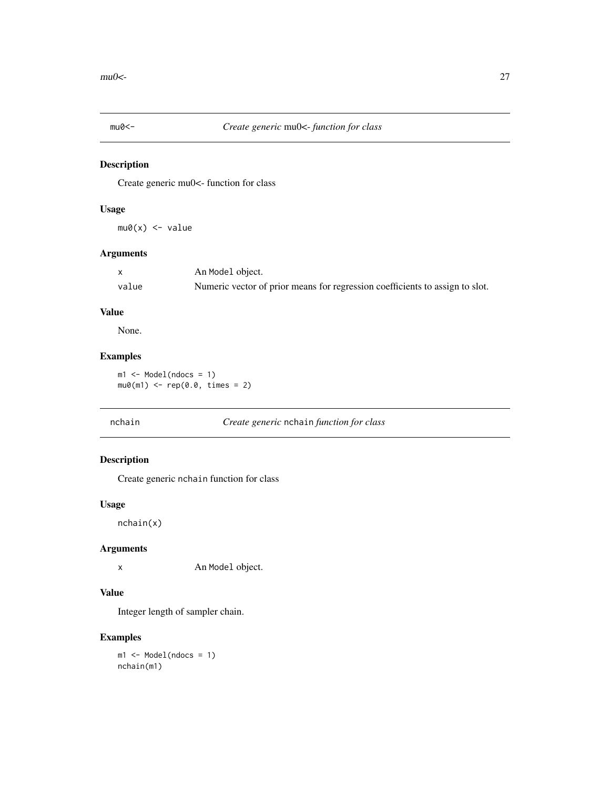<span id="page-26-0"></span>

Create generic mu0<- function for class

## Usage

 $mu0(x)$  <- value

#### Arguments

|       | An Model object.                                                             |
|-------|------------------------------------------------------------------------------|
| value | Numeric vector of prior means for regression coefficients to assign to slot. |

## Value

None.

## Examples

m1 <- Model(ndocs = 1)  $mu0(m1)$  <-  $rep(0.0, times = 2)$ 

## nchain *Create generic* nchain *function for class*

## Description

Create generic nchain function for class

#### Usage

nchain(x)

## Arguments

x An Model object.

## Value

Integer length of sampler chain.

#### Examples

m1 <- Model(ndocs = 1) nchain(m1)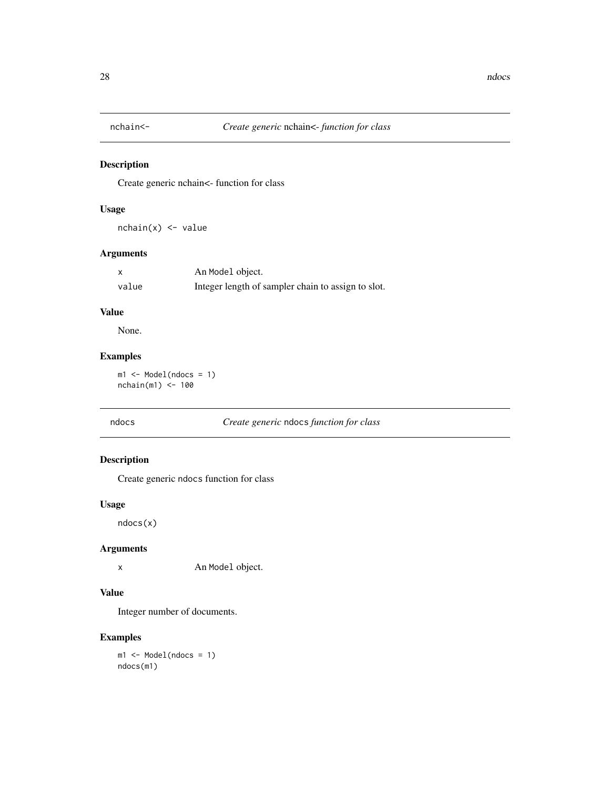<span id="page-27-0"></span>

Create generic nchain<- function for class

## Usage

 $nchain(x) < -value$ 

#### Arguments

|       | An Model object.                                   |
|-------|----------------------------------------------------|
| value | Integer length of sampler chain to assign to slot. |

## Value

None.

## Examples

m1 <- Model(ndocs = 1)  $nchain(m1) < -100$ 

## ndocs *Create generic* ndocs *function for class*

## Description

Create generic ndocs function for class

#### Usage

ndocs(x)

## Arguments

x An Model object.

## Value

Integer number of documents.

#### Examples

m1 <- Model(ndocs = 1) ndocs(m1)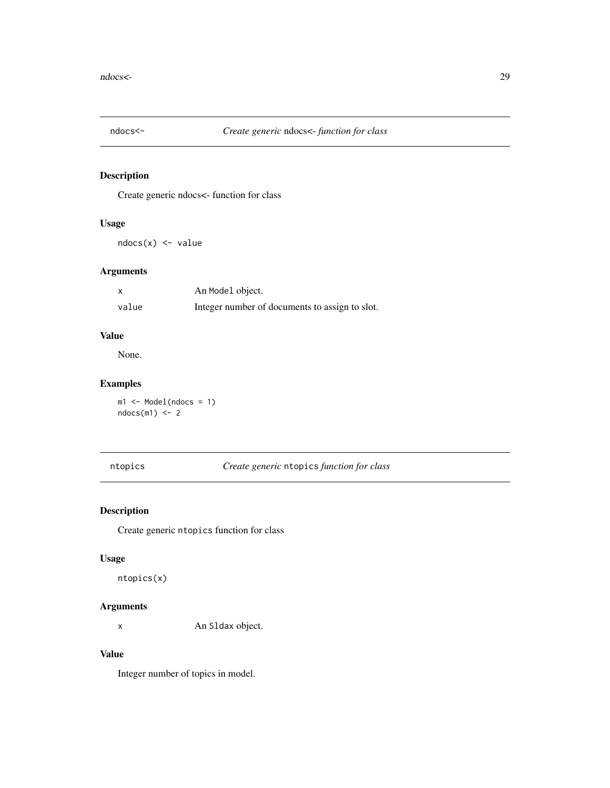<span id="page-28-0"></span>

Create generic ndocs<- function for class

## Usage

ndocs(x) <- value

## Arguments

| X     | An Model object.                               |
|-------|------------------------------------------------|
| value | Integer number of documents to assign to slot. |

## Value

None.

## Examples

m1 <- Model(ndocs = 1)  $ndocs(m1) < -2$ 

## ntopics *Create generic* ntopics *function for class*

## Description

Create generic ntopics function for class

#### Usage

ntopics(x)

## Arguments

x An Sldax object.

#### Value

Integer number of topics in model.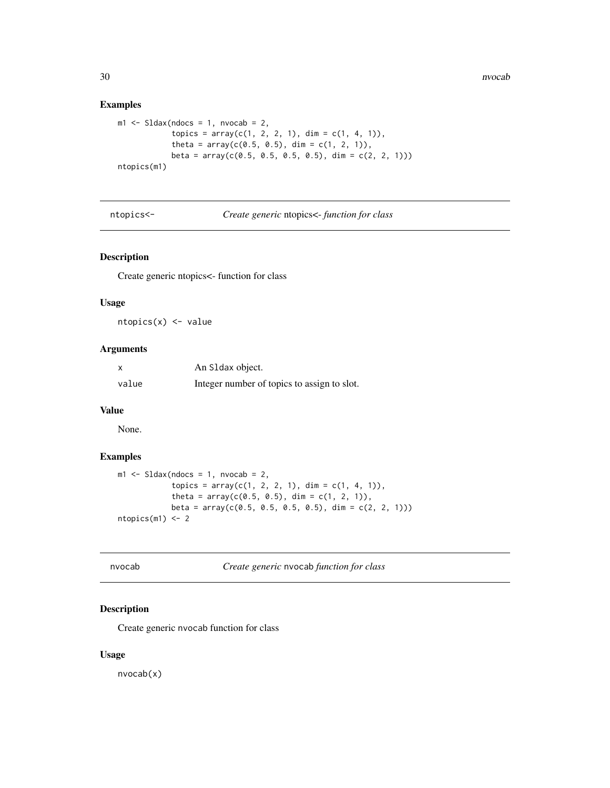30 nvocab nvocab nvocab nvocab nvocab nvocab nvocab nvocab nvocab nvocab nvocab nvocab nvocab nvocab nvocab nvo

## Examples

```
ml \leq SLdax(ndocs = 1, nvocab = 2,topics = array(c(1, 2, 2, 1), dim = c(1, 4, 1)),theta = array(c(0.5, 0.5), dim = c(1, 2, 1)),beta = array(c(0.5, 0.5, 0.5, 0.5), dim = c(2, 2, 1)))
ntopics(m1)
```
ntopics<- *Create generic* ntopics<- *function for class*

## Description

Create generic ntopics<- function for class

#### Usage

 $ntopies(x) \leftarrow value$ 

#### Arguments

| x     | An S1 dax object.                           |
|-------|---------------------------------------------|
| value | Integer number of topics to assign to slot. |

## Value

None.

#### Examples

```
m1 <- Sldax(ndocs = 1, nvocab = 2,
           topics = array(c(1, 2, 2, 1), dim = c(1, 4, 1)),theta = array(c(0.5, 0.5), dim = c(1, 2, 1)),beta = array(c(0.5, 0.5, 0.5, 0.5), dim = c(2, 2, 1)))
ntopics(m1) < -2
```
nvocab *Create generic* nvocab *function for class*

## Description

Create generic nvocab function for class

#### Usage

nvocab(x)

<span id="page-29-0"></span>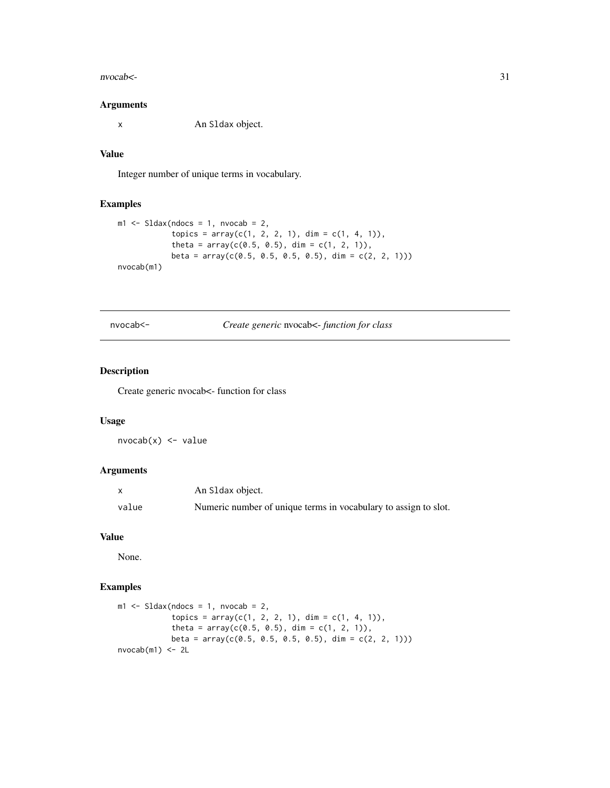#### <span id="page-30-0"></span> $n\nu$ ocab $\leq$ -31

#### Arguments

x An Sldax object.

## Value

Integer number of unique terms in vocabulary.

## Examples

```
ml \leq SLdax(ndocs = 1, nvocab = 2,topics = array(c(1, 2, 2, 1), dim = c(1, 4, 1)),theta = array(c(0.5, 0.5), dim = c(1, 2, 1)),beta = array(c(0.5, 0.5, 0.5, 0.5), dim = c(2, 2, 1)))
nvocab(m1)
```
nvocab<- *Create generic* nvocab<- *function for class*

## Description

Create generic nvocab<- function for class

## Usage

 $nvocab(x) < -value$ 

## Arguments

|       | An S1 dax object.                                               |
|-------|-----------------------------------------------------------------|
| value | Numeric number of unique terms in vocabulary to assign to slot. |

## Value

None.

#### Examples

```
ml \leq SLdax(ndocs = 1, nvocab = 2,topics = array(c(1, 2, 2, 1), dim = c(1, 4, 1)),theta = array(c(0.5, 0.5), dim = c(1, 2, 1)),beta = array(c(0.5, 0.5, 0.5, 0.5), dim = c(2, 2, 1)))
nvocab(m1) < -2L
```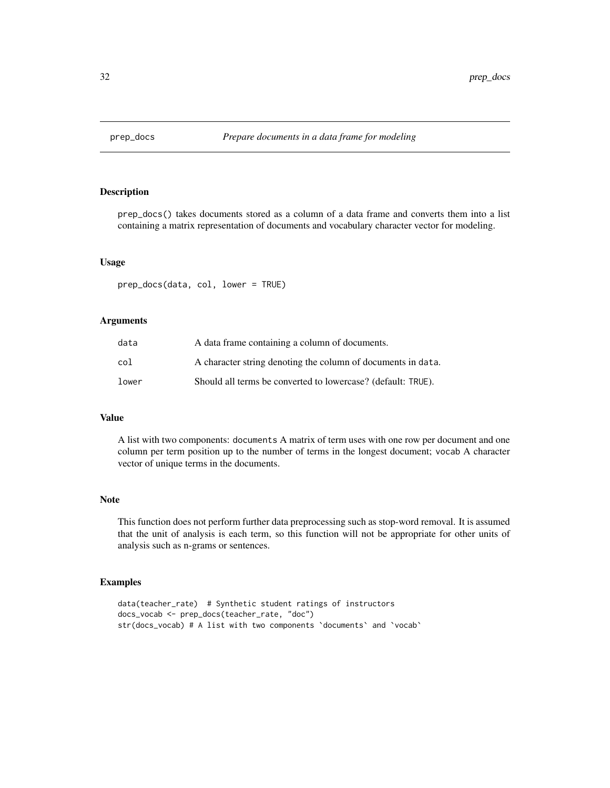<span id="page-31-0"></span>

prep\_docs() takes documents stored as a column of a data frame and converts them into a list containing a matrix representation of documents and vocabulary character vector for modeling.

## Usage

prep\_docs(data, col, lower = TRUE)

#### Arguments

| data  | A data frame containing a column of documents.               |
|-------|--------------------------------------------------------------|
| col   | A character string denoting the column of documents in data. |
| lower | Should all terms be converted to lowercase? (default: TRUE). |

## Value

A list with two components: documents A matrix of term uses with one row per document and one column per term position up to the number of terms in the longest document; vocab A character vector of unique terms in the documents.

#### Note

This function does not perform further data preprocessing such as stop-word removal. It is assumed that the unit of analysis is each term, so this function will not be appropriate for other units of analysis such as n-grams or sentences.

#### Examples

```
data(teacher_rate) # Synthetic student ratings of instructors
docs_vocab <- prep_docs(teacher_rate, "doc")
str(docs_vocab) # A list with two components `documents` and `vocab`
```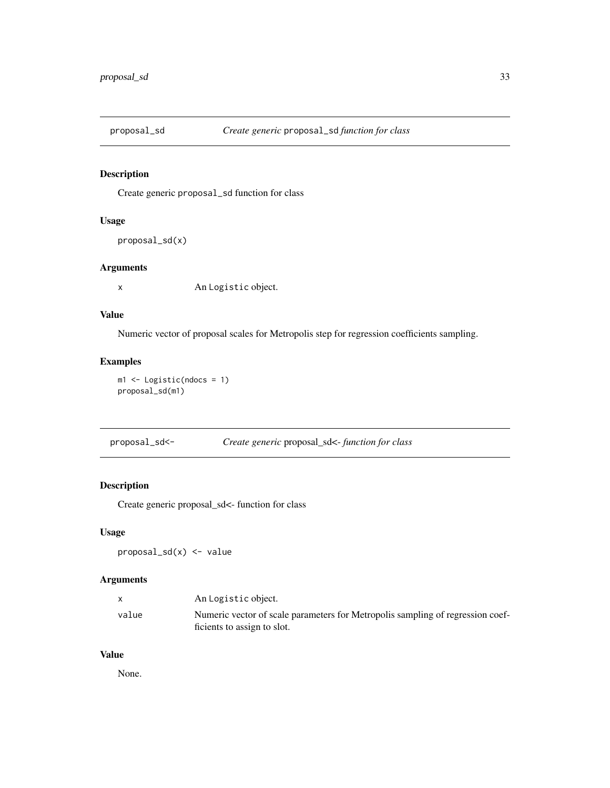<span id="page-32-0"></span>

Create generic proposal\_sd function for class

#### Usage

proposal\_sd(x)

#### Arguments

x An Logistic object.

#### Value

Numeric vector of proposal scales for Metropolis step for regression coefficients sampling.

## Examples

m1 <- Logistic(ndocs = 1) proposal\_sd(m1)

proposal\_sd<- *Create generic* proposal\_sd<- *function for class*

#### Description

Create generic proposal\_sd<- function for class

#### Usage

proposal\_sd(x) <- value

## Arguments

|       | An Logistic object.                                                            |
|-------|--------------------------------------------------------------------------------|
| value | Numeric vector of scale parameters for Metropolis sampling of regression coef- |
|       | ficients to assign to slot.                                                    |

#### Value

None.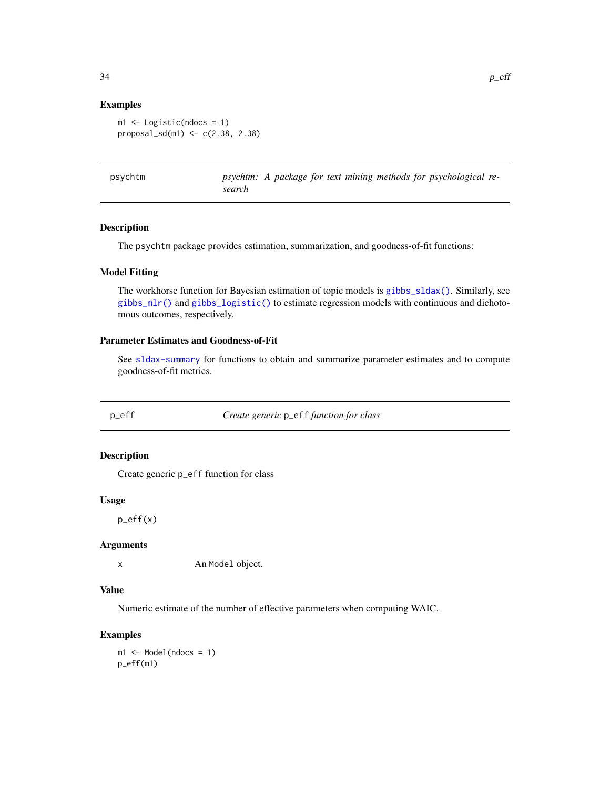#### Examples

```
m1 <- Logistic(ndocs = 1)
proposal_s d(m1) < -c(2.38, 2.38)
```
psychtm: A package for text mining methods for psychological re*search*

#### Description

The psychtm package provides estimation, summarization, and goodness-of-fit functions:

#### Model Fitting

The workhorse function for Bayesian estimation of topic models is [gibbs\\_sldax\(\)](#page-14-1). Similarly, see [gibbs\\_mlr\(\)](#page-13-1) and [gibbs\\_logistic\(\)](#page-11-1) to estimate regression models with continuous and dichotomous outcomes, respectively.

#### Parameter Estimates and Goodness-of-Fit

See [sldax-summary](#page-40-1) for functions to obtain and summarize parameter estimates and to compute goodness-of-fit metrics.

p\_eff *Create generic* p\_eff *function for class*

#### Description

Create generic p\_eff function for class

#### Usage

p\_eff(x)

#### Arguments

x An Model object.

#### Value

Numeric estimate of the number of effective parameters when computing WAIC.

## Examples

m1 <- Model(ndocs = 1) p\_eff(m1)

<span id="page-33-0"></span>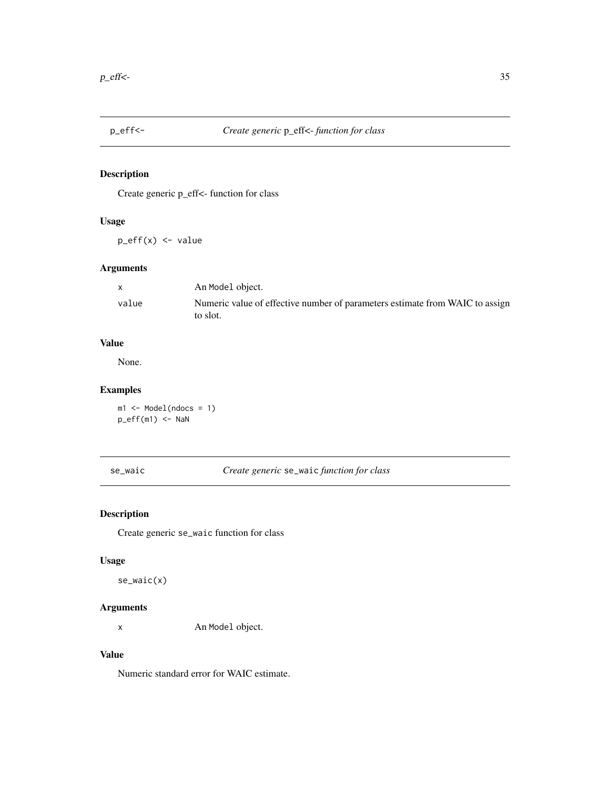<span id="page-34-0"></span>

Create generic p\_eff<- function for class

## Usage

p\_eff(x) <- value

## Arguments

|       | An Model object.                                                                         |
|-------|------------------------------------------------------------------------------------------|
| value | Numeric value of effective number of parameters estimate from WAIC to assign<br>to slot. |

## Value

None.

## Examples

m1 <- Model(ndocs = 1)  $p_{eff(m1)} \leftarrow$  NaN

se\_waic *Create generic* se\_waic *function for class*

## Description

Create generic se\_waic function for class

#### Usage

se\_waic(x)

## Arguments

x An Model object.

#### Value

Numeric standard error for WAIC estimate.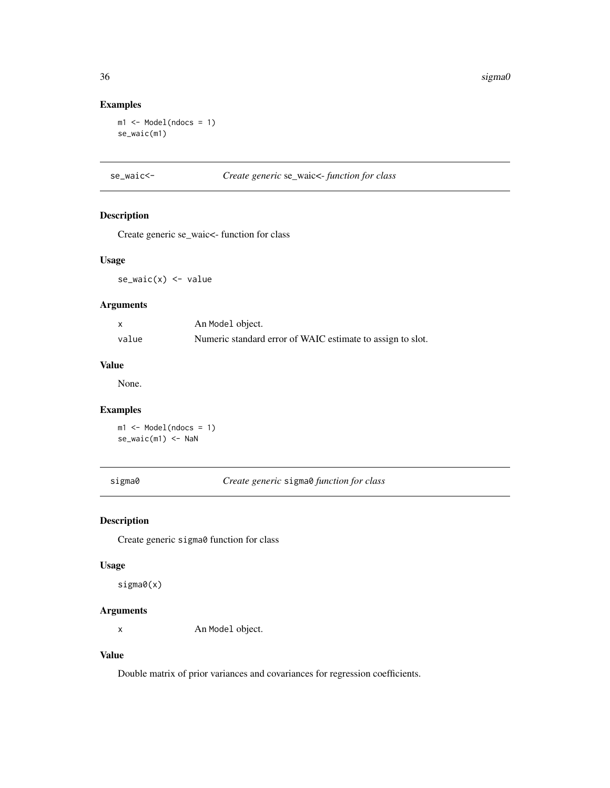## Examples

```
m1 \leq Model(ndocs = 1)se_waic(m1)
```
se\_waic<- *Create generic* se\_waic<- *function for class*

## Description

Create generic se\_waic<- function for class

## Usage

 $se\_waic(x) \leftarrow value$ 

## Arguments

|       | An Model object.                                           |
|-------|------------------------------------------------------------|
| value | Numeric standard error of WAIC estimate to assign to slot. |

#### Value

None.

## Examples

 $m1 \leq Model(ndocs = 1)$ se\_waic(m1) <- NaN

sigma0 *Create generic* sigma0 *function for class*

#### Description

Create generic sigma0 function for class

## Usage

sigma0(x)

## Arguments

x An Model object.

#### Value

Double matrix of prior variances and covariances for regression coefficients.

<span id="page-35-0"></span>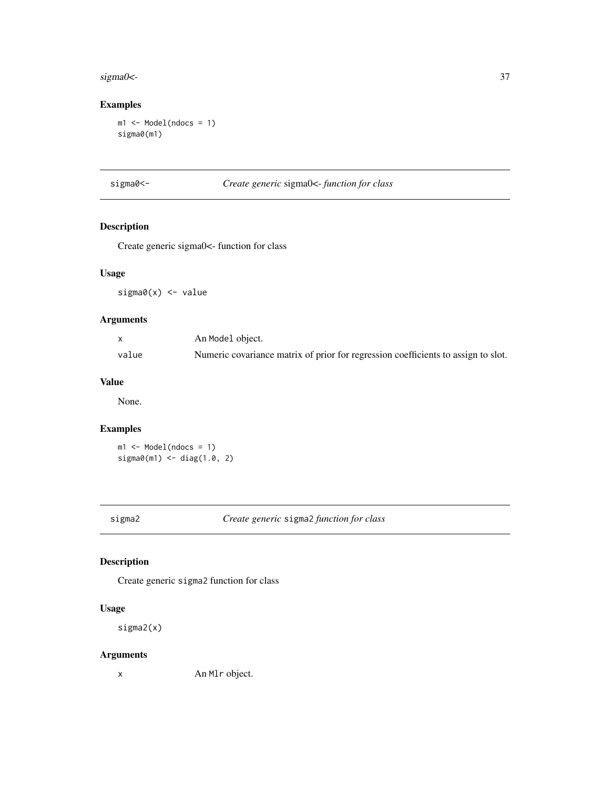#### <span id="page-36-0"></span>sigma0<- 37

## Examples

m1 <- Model(ndocs = 1) sigma0(m1)

## sigma0<- *Create generic* sigma0<- *function for class*

## Description

Create generic sigma0<- function for class

## Usage

sigma0(x) <- value

## Arguments

|       | An Model object.                                                                  |
|-------|-----------------------------------------------------------------------------------|
| value | Numeric covariance matrix of prior for regression coefficients to assign to slot. |

#### Value

None.

## Examples

m1 <- Model(ndocs = 1) sigma0(m1) <- diag(1.0, 2)

## sigma2 *Create generic* sigma2 *function for class*

## Description

Create generic sigma2 function for class

## Usage

sigma2(x)

## Arguments

x An Mlr object.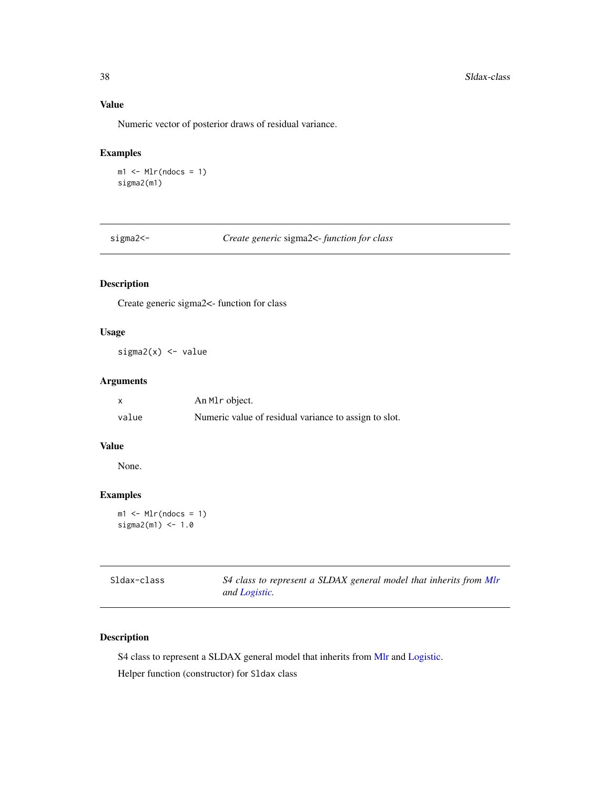## <span id="page-37-0"></span>Value

Numeric vector of posterior draws of residual variance.

## Examples

```
ml < - Mlr(ndocs = 1)sigma2(m1)
```
sigma2<- *Create generic* sigma2<- *function for class*

## Description

Create generic sigma2<- function for class

#### Usage

 $sigma2(x)$  <- value

## Arguments

|       | An M <sub>l</sub> object.                             |
|-------|-------------------------------------------------------|
| value | Numeric value of residual variance to assign to slot. |

#### Value

None.

#### Examples

 $ml \leftarrow Mlr(ndocs = 1)$  $sigma2(m1) < -1.0$ 

<span id="page-37-1"></span>

| Sldax-class | S4 class to represent a SLDAX general model that inherits from Mlr |
|-------------|--------------------------------------------------------------------|
|             | and Logistic.                                                      |

## Description

S4 class to represent a SLDAX general model that inherits from [Mlr](#page-21-1) and [Logistic.](#page-17-1)

Helper function (constructor) for Sldax class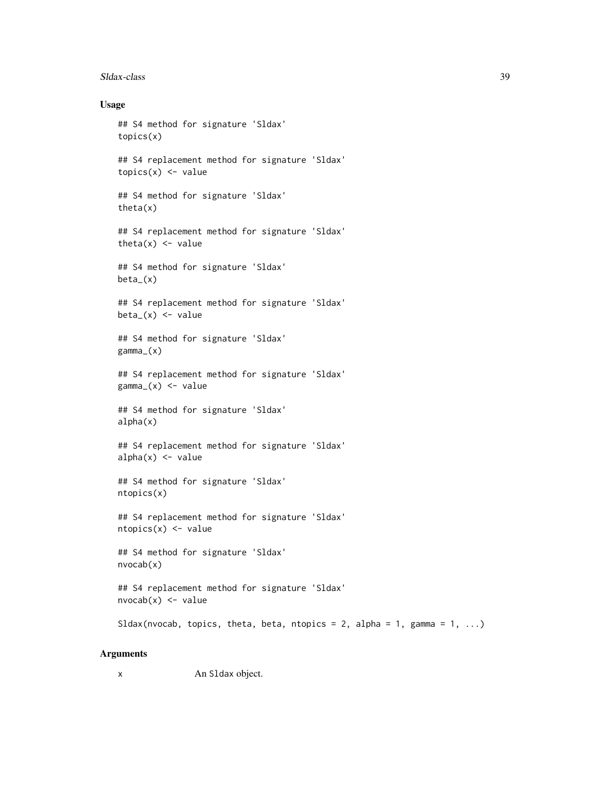#### Sldax-class 39

#### Usage

```
## S4 method for signature 'Sldax'
topics(x)
## S4 replacement method for signature 'Sldax'
topics(x) < - value## S4 method for signature 'Sldax'
theta(x)
## S4 replacement method for signature 'Sldax'
theta(x) <- value
## S4 method for signature 'Sldax'
beta_(x)
## S4 replacement method for signature 'Sldax'
beta(x) <- value
## S4 method for signature 'Sldax'
gamma_(x)
## S4 replacement method for signature 'Sldax'
gamma_{x} <- value
## S4 method for signature 'Sldax'
alpha(x)
## S4 replacement method for signature 'Sldax'
alpha(x) <- value
## S4 method for signature 'Sldax'
ntopics(x)
## S4 replacement method for signature 'Sldax'
ntopics(x) < - value
## S4 method for signature 'Sldax'
nvocab(x)
## S4 replacement method for signature 'Sldax'
nvocab(x) < -valueSldax(nvocab, topics, theta, beta, ntopics = 2, alpha = 1, gamma = 1, ...)
```
#### Arguments

x An Sldax object.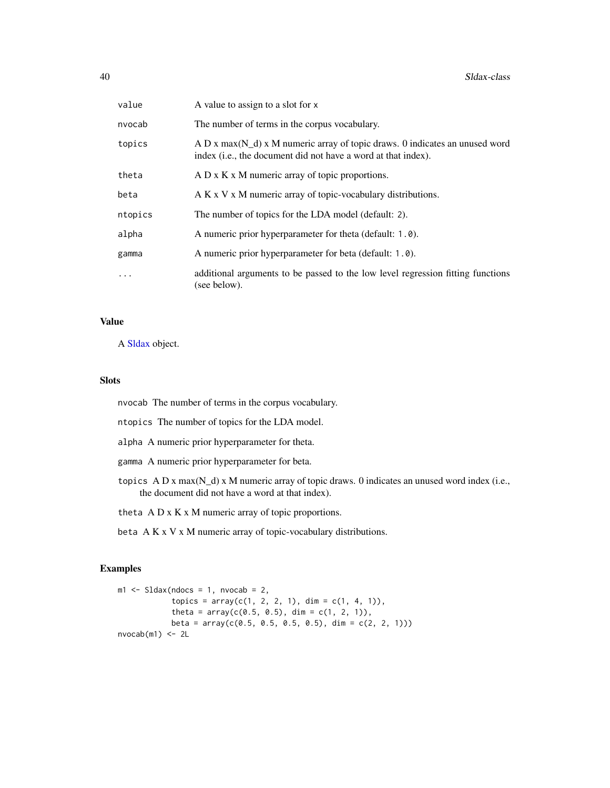<span id="page-39-0"></span>

| value   | A value to assign to a slot for x                                                                                                                |
|---------|--------------------------------------------------------------------------------------------------------------------------------------------------|
| nvocab  | The number of terms in the corpus vocabulary.                                                                                                    |
| topics  | A D x max( $N_d$ ) x M numeric array of topic draws. 0 indicates an unused word<br>index (i.e., the document did not have a word at that index). |
| theta   | A D x K x M numeric array of topic proportions.                                                                                                  |
| beta    | A K x V x M numeric array of topic-vocabulary distributions.                                                                                     |
| ntopics | The number of topics for the LDA model (default: 2).                                                                                             |
| alpha   | A numeric prior hyperparameter for theta (default: 1.0).                                                                                         |
| gamma   | A numeric prior hyperparameter for beta (default: 1.0).                                                                                          |
| .       | additional arguments to be passed to the low level regression fitting functions<br>(see below).                                                  |

#### Value

A [Sldax](#page-37-1) object.

#### Slots

nvocab The number of terms in the corpus vocabulary.

- ntopics The number of topics for the LDA model.
- alpha A numeric prior hyperparameter for theta.
- gamma A numeric prior hyperparameter for beta.
- topics A D x max(N\_d) x M numeric array of topic draws. 0 indicates an unused word index (i.e., the document did not have a word at that index).
- theta A D x K x M numeric array of topic proportions.
- beta A K x V x M numeric array of topic-vocabulary distributions.

## Examples

```
ml \leq SLdax(ndocs = 1, nvocab = 2,topics = array(c(1, 2, 2, 1), dim = c(1, 4, 1)),theta = array(c(0.5, 0.5), dim = c(1, 2, 1)),beta = array(c(0.5, 0.5, 0.5, 0.5), dim = c(2, 2, 1)))
nvocab(m1) < -2L
```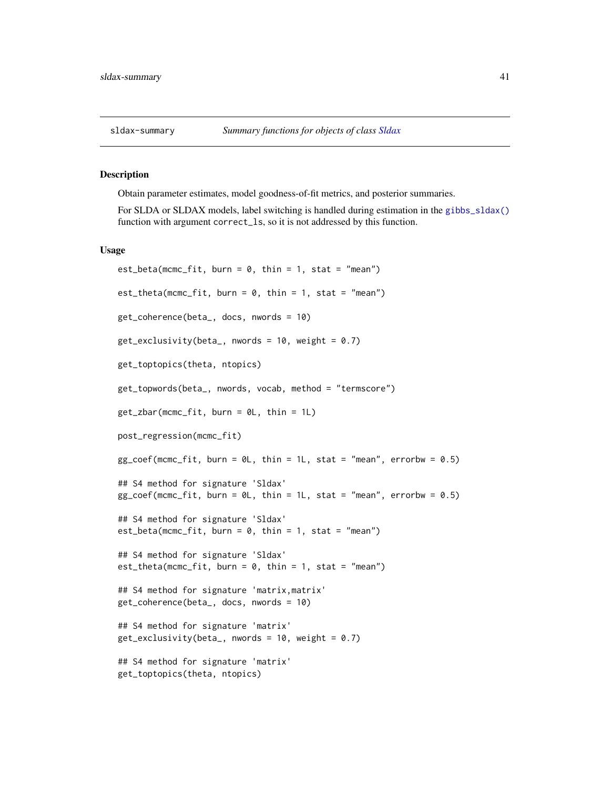<span id="page-40-1"></span><span id="page-40-0"></span>

Obtain parameter estimates, model goodness-of-fit metrics, and posterior summaries.

For SLDA or SLDAX models, label switching is handled during estimation in the [gibbs\\_sldax\(\)](#page-14-1) function with argument correct\_ls, so it is not addressed by this function.

#### Usage

```
est\_beta(mcmc\_fit, burn = 0, thin = 1, stat = "mean")est\_theta(mcmc\_fit, burn = 0, thin = 1, stat = "mean")get_coherence(beta_, docs, nwords = 10)
get_exclusivity(beta_, nwords = 10, weight = 0.7)
get_toptopics(theta, ntopics)
get_topwords(beta_, nwords, vocab, method = "termscore")
get_zbar(mcmc_fit, burn = 0L, thin = 1L)post_regression(mcmc_fit)
gg\_coeff(mcmc_fit, burn = 0L, thin = 1L, stat = "mean", errorbw = 0.5)## S4 method for signature 'Sldax'
gg\_coeff(mcmc\_fit, burn = 0L, thin = 1L, stat = "mean", errorbw = 0.5)## S4 method for signature 'Sldax'
est_beta(mcmc_fit, burn = 0, thin = 1, stat = "mean")
## S4 method for signature 'Sldax'
est_theta(mcmc_fit, burn = 0, thin = 1, stat = "mean")
## S4 method for signature 'matrix,matrix'
get_coherence(beta_, docs, nwords = 10)
## S4 method for signature 'matrix'
get\_exclusivity(beta_, mwords = 10, weight = 0.7)## S4 method for signature 'matrix'
get_toptopics(theta, ntopics)
```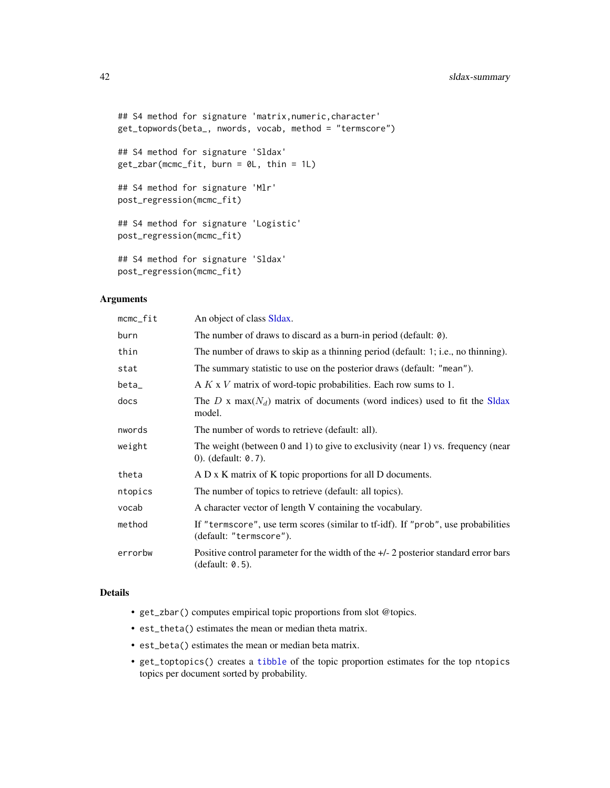```
## S4 method for signature 'matrix, numeric, character'
get_topwords(beta_, nwords, vocab, method = "termscore")
## S4 method for signature 'Sldax'
get_zbar(mcmc_fit, burn = 0L, thin = 1L)
## S4 method for signature 'Mlr'
post_regression(mcmc_fit)
## S4 method for signature 'Logistic'
post_regression(mcmc_fit)
## S4 method for signature 'Sldax'
post_regression(mcmc_fit)
```
#### Arguments

| mcmc_fit | An object of class Sldax.                                                                                          |
|----------|--------------------------------------------------------------------------------------------------------------------|
| burn     | The number of draws to discard as a burn-in period (default: 0).                                                   |
| thin     | The number of draws to skip as a thinning period (default: 1; i.e., no thinning).                                  |
| stat     | The summary statistic to use on the posterior draws (default: "mean").                                             |
| beta_    | A $K \times V$ matrix of word-topic probabilities. Each row sums to 1.                                             |
| docs     | The D x max( $N_d$ ) matrix of documents (word indices) used to fit the SIdax<br>model.                            |
| nwords   | The number of words to retrieve (default: all).                                                                    |
| weight   | The weight (between $0$ and $1$ ) to give to exclusivity (near $1$ ) vs. frequency (near<br>0). (default: $0.7$ ). |
| theta    | A D x K matrix of K topic proportions for all D documents.                                                         |
| ntopics  | The number of topics to retrieve (default: all topics).                                                            |
| vocab    | A character vector of length V containing the vocabulary.                                                          |
| method   | If "termscore", use term scores (similar to tf-idf). If "prob", use probabilities<br>(default: "termscore").       |
| errorbw  | Positive control parameter for the width of the $+/-$ 2 posterior standard error bars<br>(default: 0.5).           |

#### Details

- get\_zbar() computes empirical topic proportions from slot @topics.
- est\_theta() estimates the mean or median theta matrix.
- est\_beta() estimates the mean or median beta matrix.
- get\_toptopics() creates a [tibble](#page-0-0) of the topic proportion estimates for the top ntopics topics per document sorted by probability.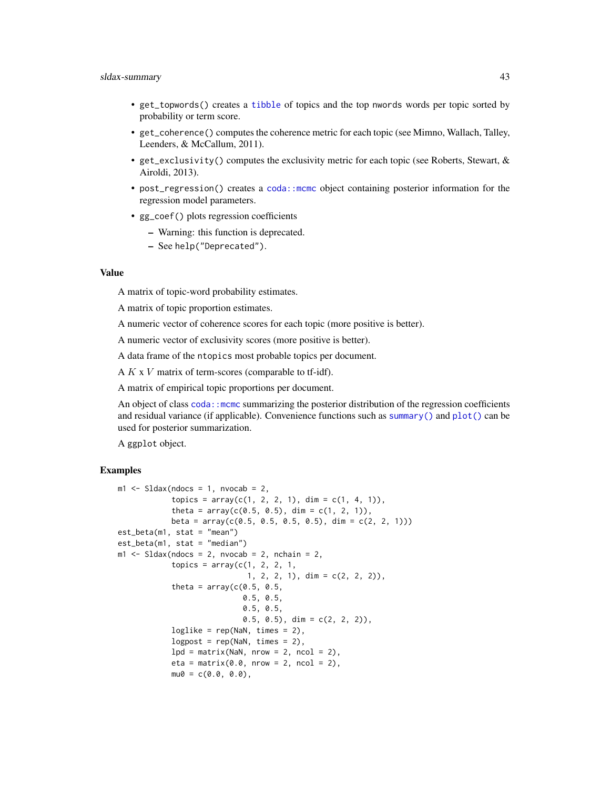#### <span id="page-42-0"></span>sldax-summary 43

- get\_topwords() creates a [tibble](#page-0-0) of topics and the top nwords words per topic sorted by probability or term score.
- get\_coherence() computes the coherence metric for each topic (see Mimno, Wallach, Talley, Leenders, & McCallum, 2011).
- get\_exclusivity() computes the exclusivity metric for each topic (see Roberts, Stewart, & Airoldi, 2013).
- post\_regression() creates a [coda::mcmc](#page-0-0) object containing posterior information for the regression model parameters.
- gg\_coef() plots regression coefficients
	- Warning: this function is deprecated.
	- See help("Deprecated").

#### Value

A matrix of topic-word probability estimates.

A matrix of topic proportion estimates.

A numeric vector of coherence scores for each topic (more positive is better).

A numeric vector of exclusivity scores (more positive is better).

A data frame of the ntopics most probable topics per document.

A  $K$  x  $V$  matrix of term-scores (comparable to tf-idf).

A matrix of empirical topic proportions per document.

An object of class coda:: mcmc summarizing the posterior distribution of the regression coefficients and residual variance (if applicable). Convenience functions such as [summary\(\)](#page-0-0) and [plot\(\)](#page-0-0) can be used for posterior summarization.

A ggplot object.

#### Examples

```
m1 <- Sldax(ndocs = 1, nvocab = 2,
           topics = array(c(1, 2, 2, 1), dim = c(1, 4, 1)),theta = array(c(0.5, 0.5), dim = c(1, 2, 1)),beta = array(c(0.5, 0.5, 0.5, 0.5), dim = c(2, 2, 1)))
est_beta(m1, stat = "mean")
est_beta(m1, stat = "median")
m1 \le - Sldax(ndocs = 2, nvocab = 2, nchain = 2,
           topics = array(c(1, 2, 2, 1,1, 2, 2, 1), dim = c(2, 2, 2)),
           theta = array(c(0.5, 0.5,0.5, 0.5,
                            0.5, 0.5,
                            0.5, 0.5, dim = c(2, 2, 2),
           loglike = rep(NaN, times = 2),
           logpost = rep(NaN, times = 2),lpd = matrix(NaN, nrow = 2, ncol = 2),eta = matrix(0.0, nrow = 2, ncol = 2),
           mu0 = c(0.0, 0.0),
```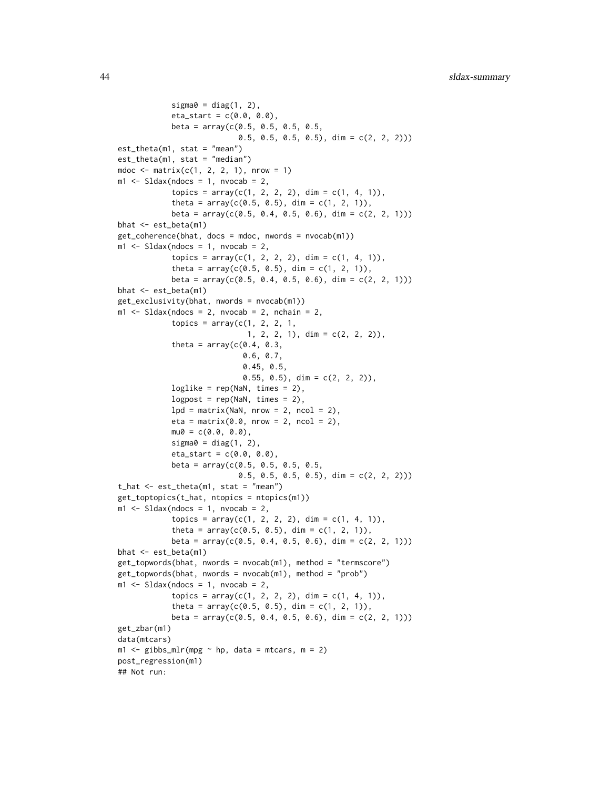```
sigma@ = diag(1, 2),
            eta_{start} = c(0.0, 0.0),
            beta = array(c(0.5, 0.5, 0.5, 0.5, 0.5,0.5, 0.5, 0.5, 0.5), dim = c(2, 2, 2)))
est_theta(m1, stat = "mean")
est_theta(m1, stat = "median")
mdoc \le matrix(c(1, 2, 2, 1), nrow = 1)
m1 \leq Sldax(ndocs = 1, nvocab = 2,topics = array(c(1, 2, 2, 2), dim = c(1, 4, 1)),theta = array(c(0.5, 0.5), dim = c(1, 2, 1)),beta = array(c(0.5, 0.4, 0.5, 0.6), dim = c(2, 2, 1)))
bhat <- est_beta(m1)
get_coherence(bhat, docs = mdoc, nwords = nvocab(m1))
m1 \leq - Sldax(ndocs = 1, nvocab = 2,
            topics = array(c(1, 2, 2, 2), dim = c(1, 4, 1)),theta = array(c(0.5, 0.5), dim = c(1, 2, 1)),beta = array(c(0.5, 0.4, 0.5, 0.6), dim = c(2, 2, 1)))
bhat <- est_beta(m1)
get_exclusivity(bhat, nwords = nvocab(m1))
m1 \le - Sldax(ndocs = 2, nvocab = 2, nchain = 2,
            topics = array(c(1, 2, 2, 1,1, 2, 2, 1), dim = c(2, 2, 2)),
            theta = array(c(0.4, 0.3,0.6, 0.7,
                            0.45, 0.5,
                            0.55, 0.5, dim = c(2, 2, 2),
            loglike = rep(NaN, times = 2),logpost = rep(NaN, times = 2),lpd = matrix(NaN, nrow = 2, ncol = 2),eta = matrix(0.0, nrow = 2, ncol = 2),
            mu0 = c(0.0, 0.0),sigma0 = diag(1, 2),
            eta_{start} = c(0.0, 0.0),
            beta = array(c(0.5, 0.5, 0.5, 0.5, 0.5,0.5, 0.5, 0.5, 0.5), dim = c(2, 2, 2)))
t_hat <- est_theta(m1, stat = "mean")
get_toptopics(t_hat, ntopics = ntopics(m1))
m1 \leq-Sldax(ndocs = 1, nvocab = 2,topics = array(c(1, 2, 2, 2), dim = c(1, 4, 1)),theta = array(c(0.5, 0.5), dim = c(1, 2, 1)),beta = array(c(0.5, 0.4, 0.5, 0.6), dim = c(2, 2, 1)))bhat <- est_beta(m1)
get_topwords(bhat, nwords = nvocab(m1), method = "termscore")
get_topwords(bhat, nwords = nvocab(m1), method = "prob")
m1 \leq-Sldax(ndocs = 1, nvocab = 2,topics = array(c(1, 2, 2, 2), dim = c(1, 4, 1)),theta = array(c(0.5, 0.5), dim = c(1, 2, 1)),beta = array(c(0.5, 0.4, 0.5, 0.6), dim = c(2, 2, 1)))get_zbar(m1)
data(mtcars)
m1 \leq - gibbs_mlr(mpg \sim hp, data = mtcars, m = 2)
post_regression(m1)
## Not run:
```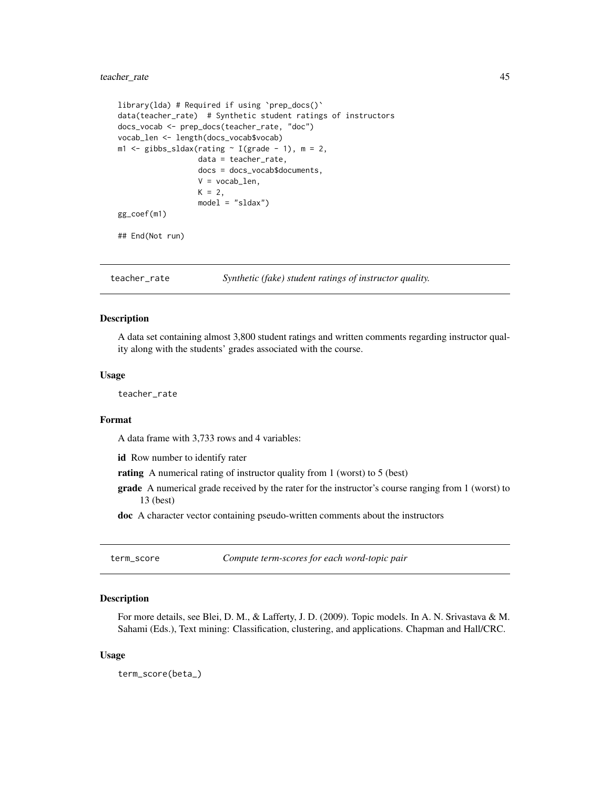#### <span id="page-44-0"></span>teacher\_rate 45

```
library(lda) # Required if using `prep_docs()`
data(teacher_rate) # Synthetic student ratings of instructors
docs_vocab <- prep_docs(teacher_rate, "doc")
vocab_len <- length(docs_vocab$vocab)
m1 \leq - gibbs_sldax(rating \sim I(grade - 1), m = 2,
                  data = teacher_rate,
                  docs = docs_vocab$documents,
                  V = vocab_len,
                  K = 2,model = "sldax")
gg_coef(m1)
## End(Not run)
```
teacher\_rate *Synthetic (fake) student ratings of instructor quality.*

#### Description

A data set containing almost 3,800 student ratings and written comments regarding instructor quality along with the students' grades associated with the course.

#### Usage

teacher\_rate

#### Format

A data frame with 3,733 rows and 4 variables:

id Row number to identify rater

rating A numerical rating of instructor quality from 1 (worst) to 5 (best)

grade A numerical grade received by the rater for the instructor's course ranging from 1 (worst) to 13 (best)

doc A character vector containing pseudo-written comments about the instructors

term\_score *Compute term-scores for each word-topic pair*

#### **Description**

For more details, see Blei, D. M., & Lafferty, J. D. (2009). Topic models. In A. N. Srivastava & M. Sahami (Eds.), Text mining: Classification, clustering, and applications. Chapman and Hall/CRC.

#### Usage

term\_score(beta\_)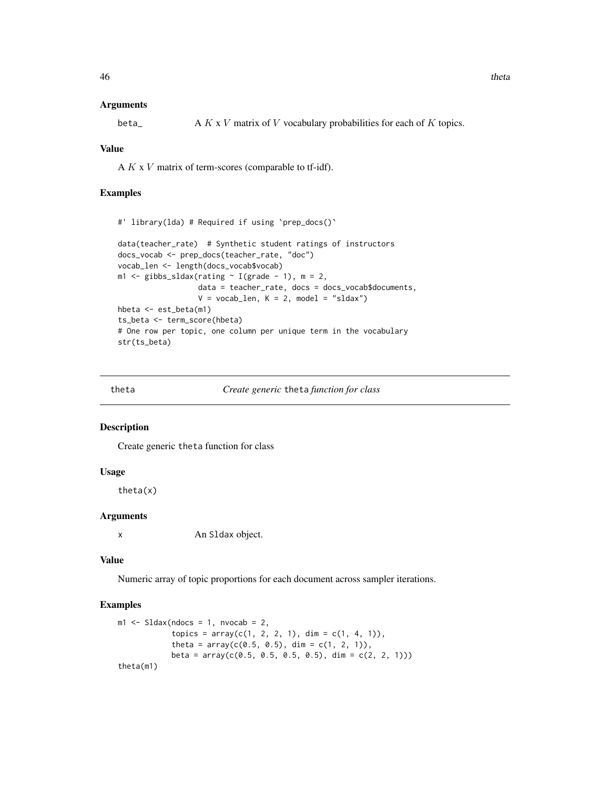#### Arguments

beta<sub>\_</sub>  $A K x V$  matrix of V vocabulary probabilities for each of K topics.

#### Value

A  $K$  x  $V$  matrix of term-scores (comparable to tf-idf).

#### Examples

```
#' library(lda) # Required if using `prep_docs()`
data(teacher_rate) # Synthetic student ratings of instructors
docs_vocab <- prep_docs(teacher_rate, "doc")
vocab_len <- length(docs_vocab$vocab)
m1 \leq -gibbs\_sldax(rating \sim I(grade - 1), m = 2,data = teacher_rate, docs = docs_vocab$documents,
                  V = vocab\_len, K = 2, model = "sldax")hbeta <- est_beta(m1)
ts_beta <- term_score(hbeta)
# One row per topic, one column per unique term in the vocabulary
str(ts_beta)
```
theta *Create generic* theta *function for class*

#### Description

Create generic theta function for class

## Usage

theta(x)

#### Arguments

x An Sldax object.

#### Value

Numeric array of topic proportions for each document across sampler iterations.

#### Examples

```
m1 <- Sldax(ndocs = 1, nvocab = 2,
           topics = array(c(1, 2, 2, 1), dim = c(1, 4, 1)),theta = array(c(0.5, 0.5), dim = c(1, 2, 1)),beta = array(c(0.5, 0.5, 0.5, 0.5), dim = c(2, 2, 1)))
theta(m1)
```
<span id="page-45-0"></span>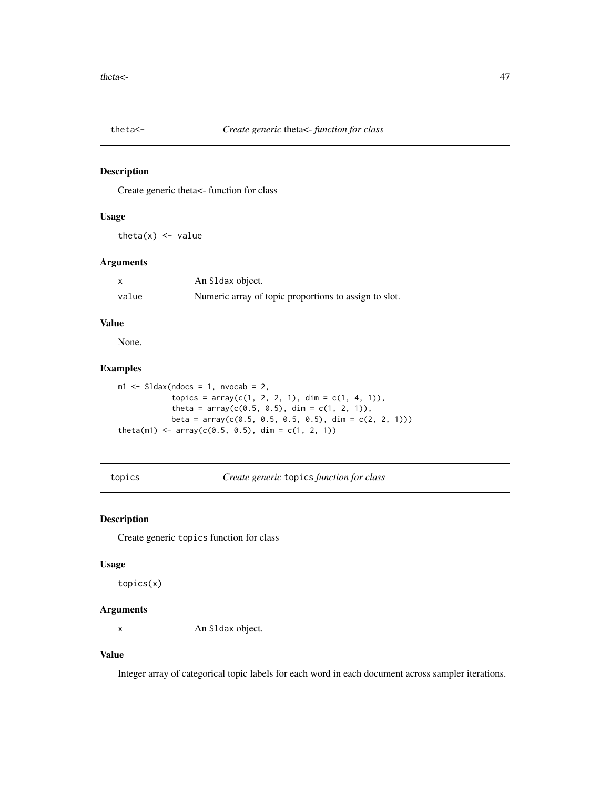<span id="page-46-0"></span>

Create generic theta<- function for class

#### Usage

theta $(x)$  <- value

## Arguments

|       | An S1 dax object.                                     |
|-------|-------------------------------------------------------|
| value | Numeric array of topic proportions to assign to slot. |

## Value

None.

#### Examples

```
ml \leq SLdax(ndocs = 1, nvocab = 2,topics = array(c(1, 2, 2, 1), dim = c(1, 4, 1)),theta = array(c(0.5, 0.5), dim = c(1, 2, 1)),beta = array(c(0.5, 0.5, 0.5, 0.5), dim = c(2, 2, 1)))
theta(m1) <- array(c(0.5, 0.5), dim = c(1, 2, 1))
```
topics *Create generic* topics *function for class*

## Description

Create generic topics function for class

#### Usage

topics(x)

## Arguments

x An Sldax object.

#### Value

Integer array of categorical topic labels for each word in each document across sampler iterations.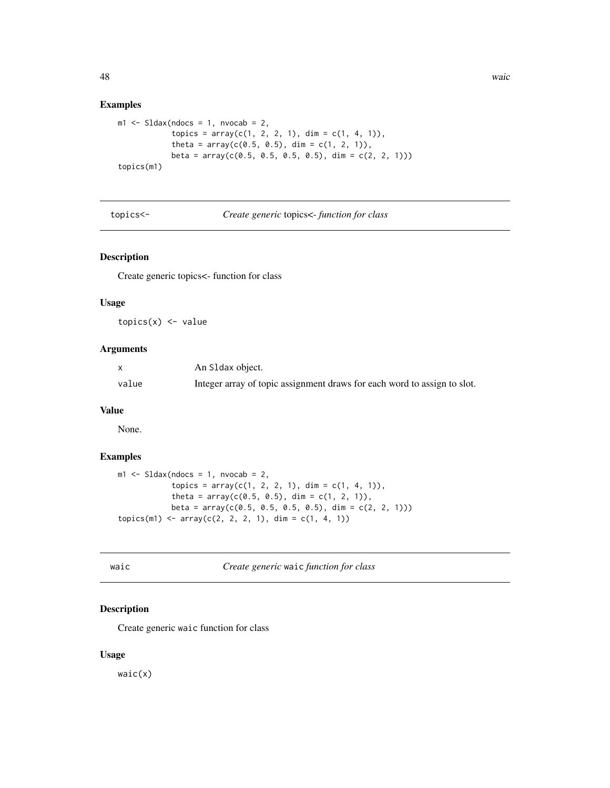#### <span id="page-47-0"></span>Examples

```
ml \leq SLdax(ndocs = 1, nvocab = 2,topics = array(c(1, 2, 2, 1), dim = c(1, 4, 1)),theta = array(c(0.5, 0.5), dim = c(1, 2, 1)),beta = array(c(0.5, 0.5, 0.5, 0.5), dim = c(2, 2, 1)))
topics(m1)
```
topics<- *Create generic* topics<- *function for class*

## Description

Create generic topics<- function for class

#### Usage

 $topics(x) < -value$ 

#### Arguments

|       | An S1dax object.                                                         |
|-------|--------------------------------------------------------------------------|
| value | Integer array of topic assignment draws for each word to assign to slot. |

## Value

None.

#### Examples

```
m1 <- Sldax(ndocs = 1, nvocab = 2,
           topics = array(c(1, 2, 2, 1), dim = c(1, 4, 1)),theta = array(c(0.5, 0.5), dim = c(1, 2, 1)),beta = array(c(0.5, 0.5, 0.5, 0.5), dim = c(2, 2, 1)))
topics(m1) < -array(c(2, 2, 2, 1), dim = c(1, 4, 1))
```
waic *Create generic* waic *function for class*

## Description

Create generic waic function for class

#### Usage

waic(x)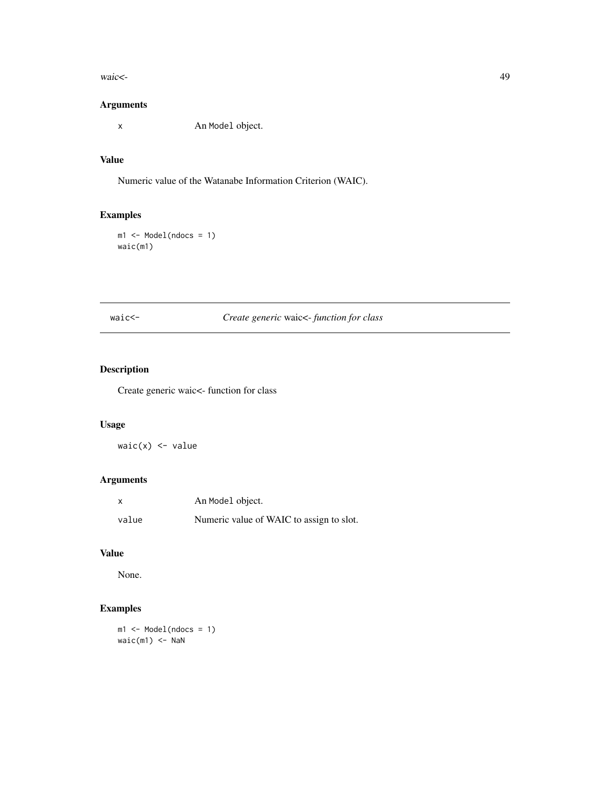<span id="page-48-0"></span>waic<- 49

## Arguments

x An Model object.

## Value

Numeric value of the Watanabe Information Criterion (WAIC).

## Examples

```
ml \leftarrow Model(ndocs = 1)waic(m1)
```
## waic<- *Create generic* waic<- *function for class*

## Description

Create generic waic<- function for class

## Usage

waic(x) <- value

## Arguments

| X     | An Model object.                         |
|-------|------------------------------------------|
| value | Numeric value of WAIC to assign to slot. |

## Value

None.

## Examples

m1 <- Model(ndocs = 1)  $waic(m1) < -$  NaN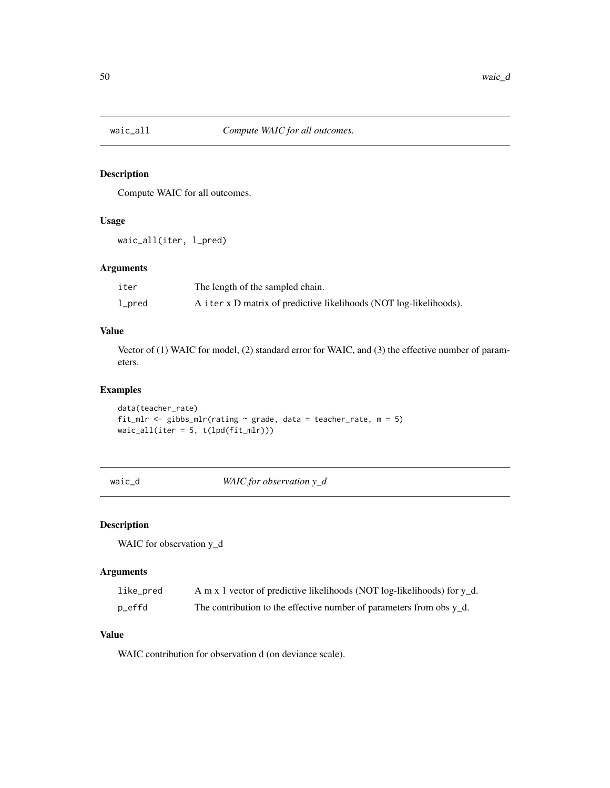<span id="page-49-0"></span>

Compute WAIC for all outcomes.

#### Usage

```
waic_all(iter, l_pred)
```
## Arguments

| iter   | The length of the sampled chain.                                   |
|--------|--------------------------------------------------------------------|
| l_pred | A iter x D matrix of predictive likelihoods (NOT log-likelihoods). |

## Value

Vector of (1) WAIC for model, (2) standard error for WAIC, and (3) the effective number of parameters.

#### Examples

```
data(teacher_rate)
fit_mlr <- gibbs_mlr(rating \sim grade, data = teacher_rate, m = 5)
waic\_all(iter = 5, t(lpd(fit_mlr)))
```
waic\_d *WAIC for observation y\_d*

## Description

WAIC for observation y\_d

#### Arguments

| like_pred | A m x 1 vector of predictive likelihoods (NOT log-likelihoods) for y_d. |
|-----------|-------------------------------------------------------------------------|
| p_effd    | The contribution to the effective number of parameters from obs $y_d$ . |

## Value

WAIC contribution for observation d (on deviance scale).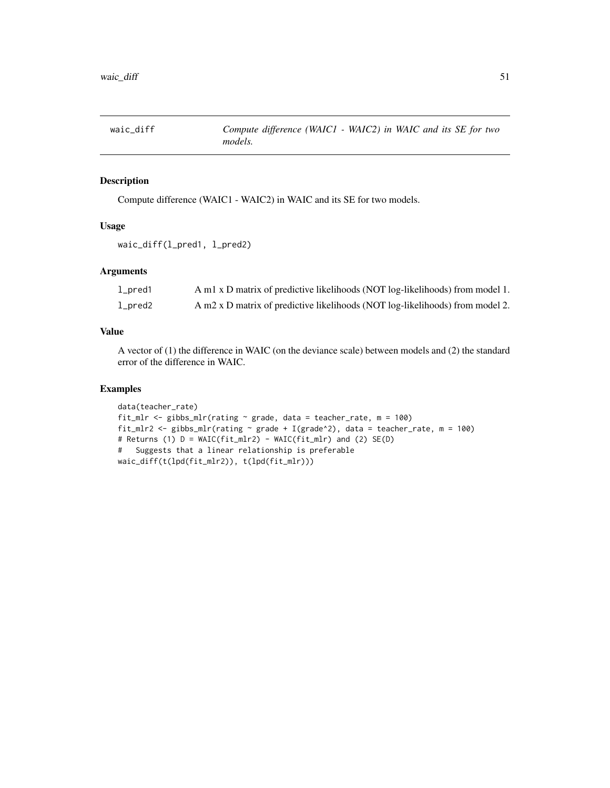<span id="page-50-0"></span>

Compute difference (WAIC1 - WAIC2) in WAIC and its SE for two models.

#### Usage

```
waic_diff(l_pred1, l_pred2)
```
## Arguments

| $1\_pred1$ | A m1 x D matrix of predictive likelihoods (NOT log-likelihoods) from model 1. |
|------------|-------------------------------------------------------------------------------|
| $1\_pred2$ | A m2 x D matrix of predictive likelihoods (NOT log-likelihoods) from model 2. |

## Value

A vector of (1) the difference in WAIC (on the deviance scale) between models and (2) the standard error of the difference in WAIC.

## Examples

```
data(teacher_rate)
fit_mlr <- gibbs_mlr(rating ~ grade, data = teacher_rate, m = 100)
fit_mlr2 <- gibbs_mlr(rating ~ grade + I(grade^2), data = teacher_rate, m = 100)
# Returns (1) D = WAIC(fit_mlr2) - WAIC(fit_mlr) and (2) SE(D)
# Suggests that a linear relationship is preferable
waic_diff(t(lpd(fit_mlr2)), t(lpd(fit_mlr)))
```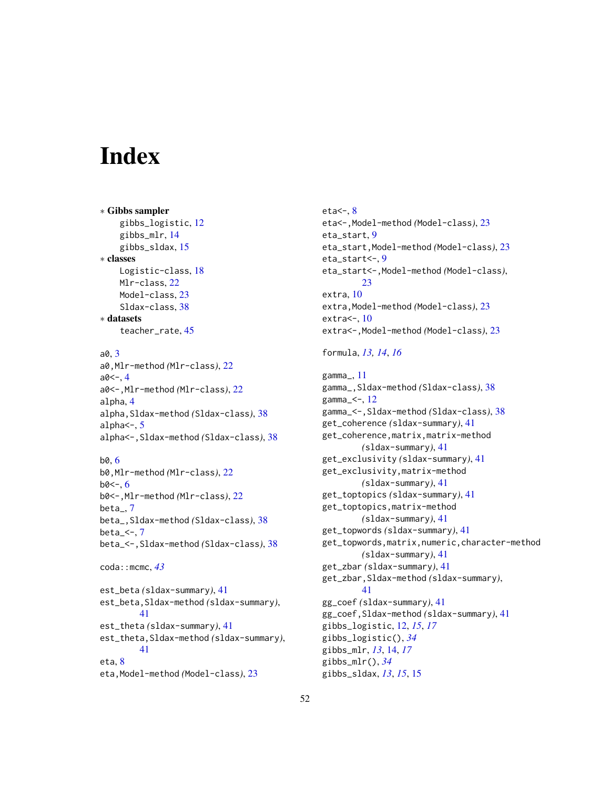# <span id="page-51-0"></span>**Index**

∗ Gibbs sampler gibbs\_logistic, [12](#page-11-0) gibbs\_mlr, [14](#page-13-0) gibbs\_sldax, [15](#page-14-0) ∗ classes Logistic-class, [18](#page-17-0) Mlr-class, [22](#page-21-0) Model-class, [23](#page-22-0) Sldax-class, [38](#page-37-0) ∗ datasets teacher\_rate, [45](#page-44-0) a0, [3](#page-2-0) a0,Mlr-method *(*Mlr-class*)*, [22](#page-21-0)  $a0<-, 4$  $a0<-, 4$ a0<-,Mlr-method *(*Mlr-class*)*, [22](#page-21-0) alpha, [4](#page-3-0) alpha,Sldax-method *(*Sldax-class*)*, [38](#page-37-0) alpha<-, [5](#page-4-0) alpha<-,Sldax-method *(*Sldax-class*)*, [38](#page-37-0)

#### b0, [6](#page-5-0)

b0,Mlr-method *(*Mlr-class*)*, [22](#page-21-0)  $b0<-6$  $b0<-6$ b0<-,Mlr-method *(*Mlr-class*)*, [22](#page-21-0) beta\_, [7](#page-6-0) beta\_,Sldax-method *(*Sldax-class*)*, [38](#page-37-0) beta $-<$ -,  $7$ beta\_<-,Sldax-method *(*Sldax-class*)*, [38](#page-37-0)

```
coda::mcmc, 43
```
est\_beta *(*sldax-summary*)*, [41](#page-40-0) est\_beta,Sldax-method *(*sldax-summary*)*, [41](#page-40-0) est\_theta *(*sldax-summary*)*, [41](#page-40-0) est\_theta,Sldax-method *(*sldax-summary*)*, [41](#page-40-0) eta, [8](#page-7-0) eta,Model-method *(*Model-class*)*, [23](#page-22-0)

 $eta<-, 8$  $eta<-, 8$ eta<-,Model-method *(*Model-class*)*, [23](#page-22-0) eta\_start, [9](#page-8-0) eta\_start,Model-method *(*Model-class*)*, [23](#page-22-0) eta\_start<-, [9](#page-8-0) eta\_start<-,Model-method *(*Model-class*)*, [23](#page-22-0) extra, [10](#page-9-0) extra,Model-method *(*Model-class*)*, [23](#page-22-0) extra<-, [10](#page-9-0) extra<-,Model-method *(*Model-class*)*, [23](#page-22-0)

## formula, *[13,](#page-12-0) [14](#page-13-0)*, *[16](#page-15-0)*

gamma\_, [11](#page-10-0) gamma\_,Sldax-method *(*Sldax-class*)*, [38](#page-37-0) gamma\_<-, [12](#page-11-0) gamma\_<-,Sldax-method *(*Sldax-class*)*, [38](#page-37-0) get\_coherence *(*sldax-summary*)*, [41](#page-40-0) get\_coherence,matrix,matrix-method *(*sldax-summary*)*, [41](#page-40-0) get\_exclusivity *(*sldax-summary*)*, [41](#page-40-0) get\_exclusivity,matrix-method *(*sldax-summary*)*, [41](#page-40-0) get\_toptopics *(*sldax-summary*)*, [41](#page-40-0) get\_toptopics,matrix-method *(*sldax-summary*)*, [41](#page-40-0) get\_topwords *(*sldax-summary*)*, [41](#page-40-0) get\_topwords,matrix,numeric,character-method *(*sldax-summary*)*, [41](#page-40-0) get\_zbar *(*sldax-summary*)*, [41](#page-40-0) get\_zbar,Sldax-method *(*sldax-summary*)*, [41](#page-40-0) gg\_coef *(*sldax-summary*)*, [41](#page-40-0) gg\_coef,Sldax-method *(*sldax-summary*)*, [41](#page-40-0) gibbs\_logistic, [12,](#page-11-0) *[15](#page-14-0)*, *[17](#page-16-0)* gibbs\_logistic(), *[34](#page-33-0)* gibbs\_mlr, *[13](#page-12-0)*, [14,](#page-13-0) *[17](#page-16-0)* gibbs\_mlr(), *[34](#page-33-0)* gibbs\_sldax, *[13](#page-12-0)*, *[15](#page-14-0)*, [15](#page-14-0)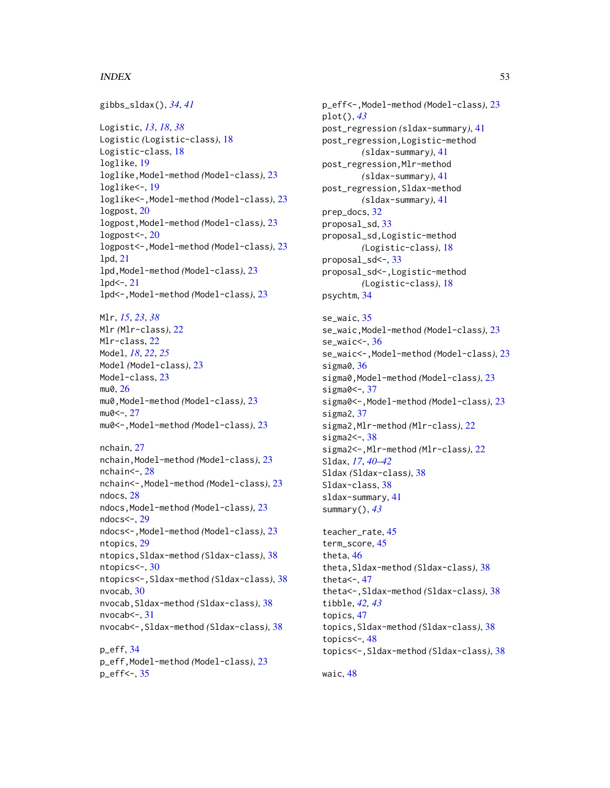#### $I<sub>N</sub>DEX$  53

gibbs\_sldax(), *[34](#page-33-0)*, *[41](#page-40-0)* Logistic, *[13](#page-12-0)*, *[18](#page-17-0)*, *[38](#page-37-0)* Logistic *(*Logistic-class*)*, [18](#page-17-0) Logistic-class, [18](#page-17-0) loglike, [19](#page-18-0) loglike,Model-method *(*Model-class*)*, [23](#page-22-0) loglike<-, [19](#page-18-0) loglike<-,Model-method *(*Model-class*)*, [23](#page-22-0) logpost, [20](#page-19-0) logpost,Model-method *(*Model-class*)*, [23](#page-22-0) logpost $\leftarrow$ , [20](#page-19-0) logpost<-,Model-method *(*Model-class*)*, [23](#page-22-0) lpd, [21](#page-20-0) lpd,Model-method *(*Model-class*)*, [23](#page-22-0)  $1pd<-, 21$  $1pd<-, 21$ lpd<-,Model-method *(*Model-class*)*, [23](#page-22-0) Mlr, *[15](#page-14-0)*, *[23](#page-22-0)*, *[38](#page-37-0)* Mlr *(*Mlr-class*)*, [22](#page-21-0) Mlr-class, [22](#page-21-0) Model, *[18](#page-17-0)*, *[22](#page-21-0)*, *[25](#page-24-0)* Model *(*Model-class*)*, [23](#page-22-0) Model-class, [23](#page-22-0) mu0, [26](#page-25-0) mu0,Model-method *(*Model-class*)*, [23](#page-22-0)  $mu0<-.27$  $mu0<-.27$ mu0<-,Model-method *(*Model-class*)*, [23](#page-22-0) nchain, [27](#page-26-0) nchain,Model-method *(*Model-class*)*, [23](#page-22-0) nchain<-, [28](#page-27-0) nchain<-,Model-method *(*Model-class*)*, [23](#page-22-0) ndocs, [28](#page-27-0) ndocs,Model-method *(*Model-class*)*, [23](#page-22-0) ndocs<-, [29](#page-28-0) ndocs<-,Model-method *(*Model-class*)*, [23](#page-22-0) ntopics, [29](#page-28-0) ntopics,Sldax-method *(*Sldax-class*)*, [38](#page-37-0) ntopics<-, [30](#page-29-0) ntopics<-,Sldax-method *(*Sldax-class*)*, [38](#page-37-0) nvocab, [30](#page-29-0) nvocab,Sldax-method *(*Sldax-class*)*, [38](#page-37-0) nvocab $\leq$ -, [31](#page-30-0) nvocab<-,Sldax-method *(*Sldax-class*)*, [38](#page-37-0)

p\_eff, [34](#page-33-0) p\_eff,Model-method *(*Model-class*)*, [23](#page-22-0) p\_eff<-, [35](#page-34-0)

p\_eff<-,Model-method *(*Model-class*)*, [23](#page-22-0) plot(), *[43](#page-42-0)* post\_regression *(*sldax-summary*)*, [41](#page-40-0) post\_regression,Logistic-method *(*sldax-summary*)*, [41](#page-40-0) post\_regression,Mlr-method *(*sldax-summary*)*, [41](#page-40-0) post\_regression,Sldax-method *(*sldax-summary*)*, [41](#page-40-0) prep\_docs, [32](#page-31-0) proposal\_sd, [33](#page-32-0) proposal\_sd,Logistic-method *(*Logistic-class*)*, [18](#page-17-0) proposal\_sd<-, [33](#page-32-0) proposal\_sd<-,Logistic-method *(*Logistic-class*)*, [18](#page-17-0) psychtm, [34](#page-33-0) se\_waic, [35](#page-34-0) se\_waic,Model-method *(*Model-class*)*, [23](#page-22-0) se\_waic<-, [36](#page-35-0) se\_waic<-,Model-method *(*Model-class*)*, [23](#page-22-0) sigma0, [36](#page-35-0) sigma0,Model-method *(*Model-class*)*, [23](#page-22-0) sigma0<-, [37](#page-36-0) sigma0<-,Model-method *(*Model-class*)*, [23](#page-22-0) sigma2, [37](#page-36-0) sigma2,Mlr-method *(*Mlr-class*)*, [22](#page-21-0) sigma $2 < -$ ,  $38$ sigma2<-,Mlr-method *(*Mlr-class*)*, [22](#page-21-0) Sldax, *[17](#page-16-0)*, *[40](#page-39-0)[–42](#page-41-0)* Sldax *(*Sldax-class*)*, [38](#page-37-0)

summary(), *[43](#page-42-0)* teacher\_rate, [45](#page-44-0) term\_score, [45](#page-44-0) theta, [46](#page-45-0) theta,Sldax-method *(*Sldax-class*)*, [38](#page-37-0) theta $\leftarrow$ , [47](#page-46-0) theta<-,Sldax-method *(*Sldax-class*)*, [38](#page-37-0) tibble, *[42,](#page-41-0) [43](#page-42-0)* topics, [47](#page-46-0) topics,Sldax-method *(*Sldax-class*)*, [38](#page-37-0) topics $\leftarrow$ , [48](#page-47-0) topics<-,Sldax-method *(*Sldax-class*)*, [38](#page-37-0)

waic, [48](#page-47-0)

Sldax-class, [38](#page-37-0) sldax-summary, [41](#page-40-0)